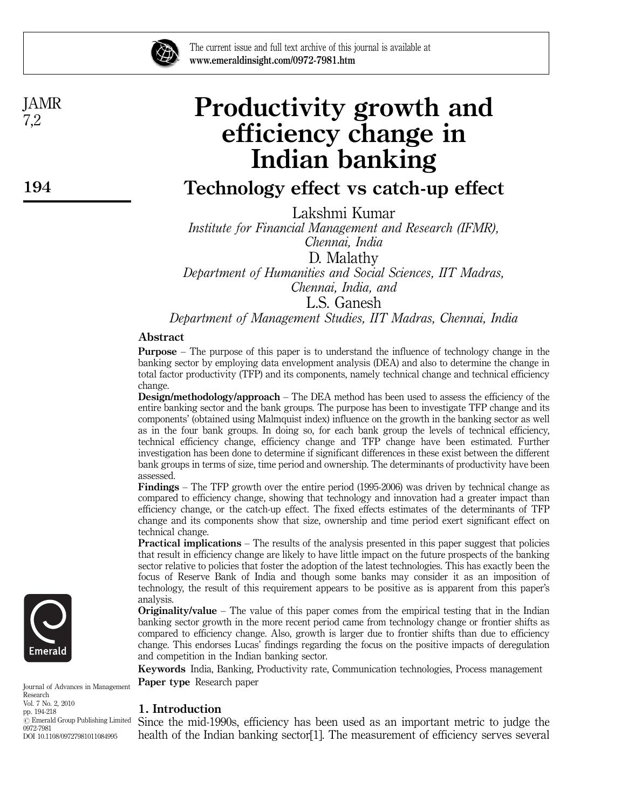

The current issue and full text archive of this journal is available at www.emeraldinsight.com/0972-7981.htm

JAMR 7,2

194

# Productivity growth and efficiency change in Indian banking

# Technology effect vs catch-up effect

Lakshmi Kumar

*Institute for Financial Management and Research (IFMR), Chennai, India*

D. Malathy

*Department of Humanities and Social Sciences, IIT Madras, Chennai, India, and*

L.S. Ganesh

*Department of Management Studies, IIT Madras, Chennai, India*

# Abstract

**Purpose** – The purpose of this paper is to understand the influence of technology change in the banking sector by employing data envelopment analysis (DEA) and also to determine the change in total factor productivity (TFP) and its components, namely technical change and technical efficiency change.

Design/methodology/approach – The DEA method has been used to assess the efficiency of the entire banking sector and the bank groups. The purpose has been to investigate TFP change and its components' (obtained using Malmquist index) influence on the growth in the banking sector as well as in the four bank groups. In doing so, for each bank group the levels of technical efficiency, technical efficiency change, efficiency change and TFP change have been estimated. Further investigation has been done to determine if significant differences in these exist between the different bank groups in terms of size, time period and ownership. The determinants of productivity have been assessed.

Findings – The TFP growth over the entire period (1995-2006) was driven by technical change as compared to efficiency change, showing that technology and innovation had a greater impact than efficiency change, or the catch-up effect. The fixed effects estimates of the determinants of TFP change and its components show that size, ownership and time period exert significant effect on technical change.

Practical implications – The results of the analysis presented in this paper suggest that policies that result in efficiency change are likely to have little impact on the future prospects of the banking sector relative to policies that foster the adoption of the latest technologies. This has exactly been the focus of Reserve Bank of India and though some banks may consider it as an imposition of technology, the result of this requirement appears to be positive as is apparent from this paper's analysis.

Originality/value – The value of this paper comes from the empirical testing that in the Indian banking sector growth in the more recent period came from technology change or frontier shifts as compared to efficiency change. Also, growth is larger due to frontier shifts than due to efficiency change. This endorses Lucas' findings regarding the focus on the positive impacts of deregulation and competition in the Indian banking sector.

Keywords India, Banking, Productivity rate, Communication technologies, Process management Paper type Research paper

# 1. Introduction

Since the mid-1990s, efficiency has been used as an important metric to judge the health of the Indian banking sector<sup>[1]</sup>. The measurement of efficiency serves several



Journal of Advances in Management Research Vol. 7 No. 2, 2010 pp. 194-218  $\oslash$  Emerald Group Publishing Limited 0972-7981 DOI 10.1108/09727981011084995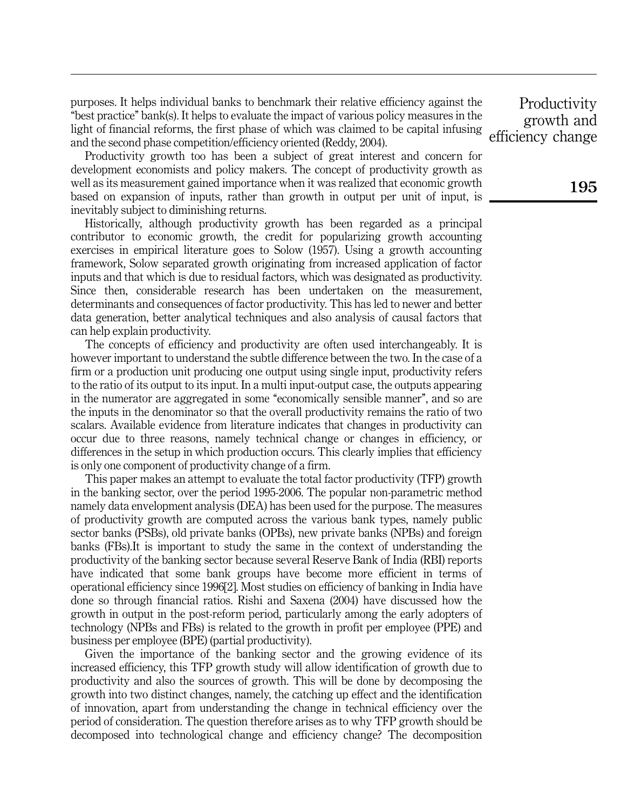purposes. It helps individual banks to benchmark their relative efficiency against the ''best practice'' bank(s). It helps to evaluate the impact of various policy measures in the light of financial reforms, the first phase of which was claimed to be capital infusing and the second phase competition/efficiency oriented (Reddy, 2004).

Productivity growth too has been a subject of great interest and concern for development economists and policy makers. The concept of productivity growth as well as its measurement gained importance when it was realized that economic growth based on expansion of inputs, rather than growth in output per unit of input, is inevitably subject to diminishing returns.

Historically, although productivity growth has been regarded as a principal contributor to economic growth, the credit for popularizing growth accounting exercises in empirical literature goes to Solow (1957). Using a growth accounting framework, Solow separated growth originating from increased application of factor inputs and that which is due to residual factors, which was designated as productivity. Since then, considerable research has been undertaken on the measurement, determinants and consequences of factor productivity. This has led to newer and better data generation, better analytical techniques and also analysis of causal factors that can help explain productivity.

The concepts of efficiency and productivity are often used interchangeably. It is however important to understand the subtle difference between the two. In the case of a firm or a production unit producing one output using single input, productivity refers to the ratio of its output to its input. In a multi input-output case, the outputs appearing in the numerator are aggregated in some "economically sensible manner", and so are the inputs in the denominator so that the overall productivity remains the ratio of two scalars. Available evidence from literature indicates that changes in productivity can occur due to three reasons, namely technical change or changes in efficiency, or differences in the setup in which production occurs. This clearly implies that efficiency is only one component of productivity change of a firm.

This paper makes an attempt to evaluate the total factor productivity (TFP) growth in the banking sector, over the period 1995-2006. The popular non-parametric method namely data envelopment analysis (DEA) has been used for the purpose. The measures of productivity growth are computed across the various bank types, namely public sector banks (PSBs), old private banks (OPBs), new private banks (NPBs) and foreign banks (FBs).It is important to study the same in the context of understanding the productivity of the banking sector because several Reserve Bank of India (RBI) reports have indicated that some bank groups have become more efficient in terms of operational efficiency since 1996[2]. Most studies on efficiency of banking in India have done so through financial ratios. Rishi and Saxena (2004) have discussed how the growth in output in the post-reform period, particularly among the early adopters of technology (NPBs and FBs) is related to the growth in profit per employee (PPE) and business per employee (BPE) (partial productivity).

Given the importance of the banking sector and the growing evidence of its increased efficiency, this TFP growth study will allow identification of growth due to productivity and also the sources of growth. This will be done by decomposing the growth into two distinct changes, namely, the catching up effect and the identification of innovation, apart from understanding the change in technical efficiency over the period of consideration. The question therefore arises as to why TFP growth should be decomposed into technological change and efficiency change? The decomposition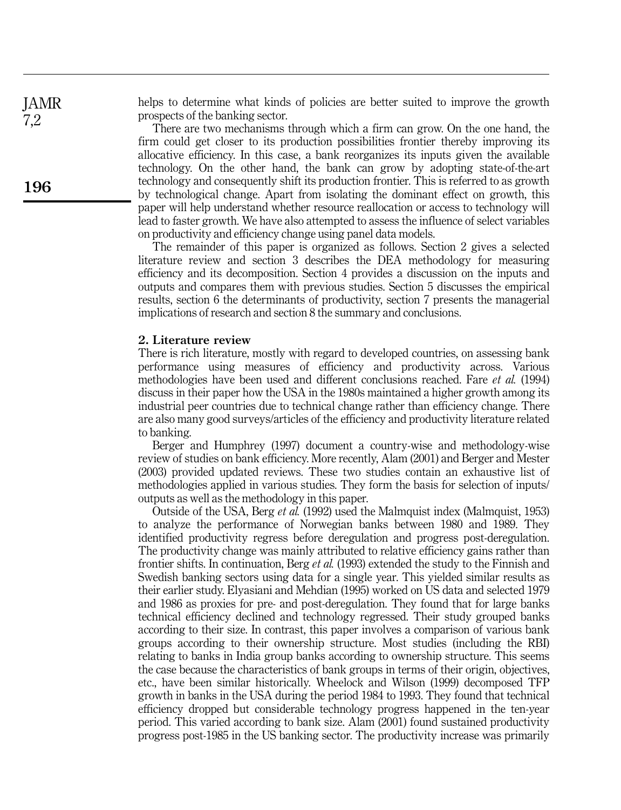helps to determine what kinds of policies are better suited to improve the growth prospects of the banking sector.

There are two mechanisms through which a firm can grow. On the one hand, the firm could get closer to its production possibilities frontier thereby improving its allocative efficiency. In this case, a bank reorganizes its inputs given the available technology. On the other hand, the bank can grow by adopting state-of-the-art technology and consequently shift its production frontier. This is referred to as growth by technological change. Apart from isolating the dominant effect on growth, this paper will help understand whether resource reallocation or access to technology will lead to faster growth. We have also attempted to assess the influence of select variables on productivity and efficiency change using panel data models.

The remainder of this paper is organized as follows. Section 2 gives a selected literature review and section 3 describes the DEA methodology for measuring efficiency and its decomposition. Section 4 provides a discussion on the inputs and outputs and compares them with previous studies. Section 5 discusses the empirical results, section 6 the determinants of productivity, section 7 presents the managerial implications of research and section 8 the summary and conclusions.

## 2. Literature review

There is rich literature, mostly with regard to developed countries, on assessing bank performance using measures of efficiency and productivity across. Various methodologies have been used and different conclusions reached. Fare *et al.* (1994) discuss in their paper how the USA in the 1980s maintained a higher growth among its industrial peer countries due to technical change rather than efficiency change. There are also many good surveys/articles of the efficiency and productivity literature related to banking.

Berger and Humphrey (1997) document a country-wise and methodology-wise review of studies on bank efficiency. More recently, Alam (2001) and Berger and Mester (2003) provided updated reviews. These two studies contain an exhaustive list of methodologies applied in various studies. They form the basis for selection of inputs/ outputs as well as the methodology in this paper.

Outside of the USA, Berg *et al.* (1992) used the Malmquist index (Malmquist, 1953) to analyze the performance of Norwegian banks between 1980 and 1989. They identified productivity regress before deregulation and progress post-deregulation. The productivity change was mainly attributed to relative efficiency gains rather than frontier shifts. In continuation, Berg *et al.* (1993) extended the study to the Finnish and Swedish banking sectors using data for a single year. This yielded similar results as their earlier study. Elyasiani and Mehdian (1995) worked on US data and selected 1979 and 1986 as proxies for pre- and post-deregulation. They found that for large banks technical efficiency declined and technology regressed. Their study grouped banks according to their size. In contrast, this paper involves a comparison of various bank groups according to their ownership structure. Most studies (including the RBI) relating to banks in India group banks according to ownership structure. This seems the case because the characteristics of bank groups in terms of their origin, objectives, etc., have been similar historically. Wheelock and Wilson (1999) decomposed TFP growth in banks in the USA during the period 1984 to 1993. They found that technical efficiency dropped but considerable technology progress happened in the ten-year period. This varied according to bank size. Alam (2001) found sustained productivity progress post-1985 in the US banking sector. The productivity increase was primarily

JAMR 7,2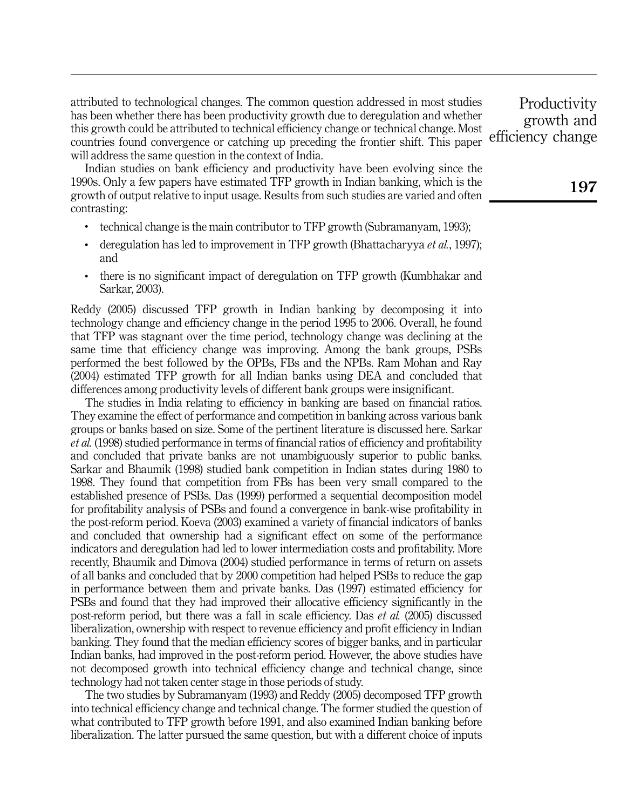attributed to technological changes. The common question addressed in most studies has been whether there has been productivity growth due to deregulation and whether this growth could be attributed to technical efficiency change or technical change. Most countries found convergence or catching up preceding the frontier shift. This paper will address the same question in the context of India.

Indian studies on bank efficiency and productivity have been evolving since the 1990s. Only a few papers have estimated TFP growth in Indian banking, which is the growth of output relative to input usage. Results from such studies are varied and often contrasting:

- . technical change is the main contributor to TFP growth (Subramanyam, 1993);
- . deregulation has led to improvement in TFP growth (Bhattacharyya *et al.*, 1997); and
- . there is no significant impact of deregulation on TFP growth (Kumbhakar and Sarkar, 2003).

Reddy (2005) discussed TFP growth in Indian banking by decomposing it into technology change and efficiency change in the period 1995 to 2006. Overall, he found that TFP was stagnant over the time period, technology change was declining at the same time that efficiency change was improving. Among the bank groups, PSBs performed the best followed by the OPBs, FBs and the NPBs. Ram Mohan and Ray (2004) estimated TFP growth for all Indian banks using DEA and concluded that differences among productivity levels of different bank groups were insignificant.

The studies in India relating to efficiency in banking are based on financial ratios. They examine the effect of performance and competition in banking across various bank groups or banks based on size. Some of the pertinent literature is discussed here. Sarkar *et al.* (1998) studied performance in terms of financial ratios of efficiency and profitability and concluded that private banks are not unambiguously superior to public banks. Sarkar and Bhaumik (1998) studied bank competition in Indian states during 1980 to 1998. They found that competition from FBs has been very small compared to the established presence of PSBs. Das (1999) performed a sequential decomposition model for profitability analysis of PSBs and found a convergence in bank-wise profitability in the post-reform period. Koeva (2003) examined a variety of financial indicators of banks and concluded that ownership had a significant effect on some of the performance indicators and deregulation had led to lower intermediation costs and profitability. More recently, Bhaumik and Dimova (2004) studied performance in terms of return on assets of all banks and concluded that by 2000 competition had helped PSBs to reduce the gap in performance between them and private banks. Das (1997) estimated efficiency for PSBs and found that they had improved their allocative efficiency significantly in the post-reform period, but there was a fall in scale efficiency. Das *et al.* (2005) discussed liberalization, ownership with respect to revenue efficiency and profit efficiency in Indian banking. They found that the median efficiency scores of bigger banks, and in particular Indian banks, had improved in the post-reform period. However, the above studies have not decomposed growth into technical efficiency change and technical change, since technology had not taken center stage in those periods of study.

The two studies by Subramanyam (1993) and Reddy (2005) decomposed TFP growth into technical efficiency change and technical change. The former studied the question of what contributed to TFP growth before 1991, and also examined Indian banking before liberalization. The latter pursued the same question, but with a different choice of inputs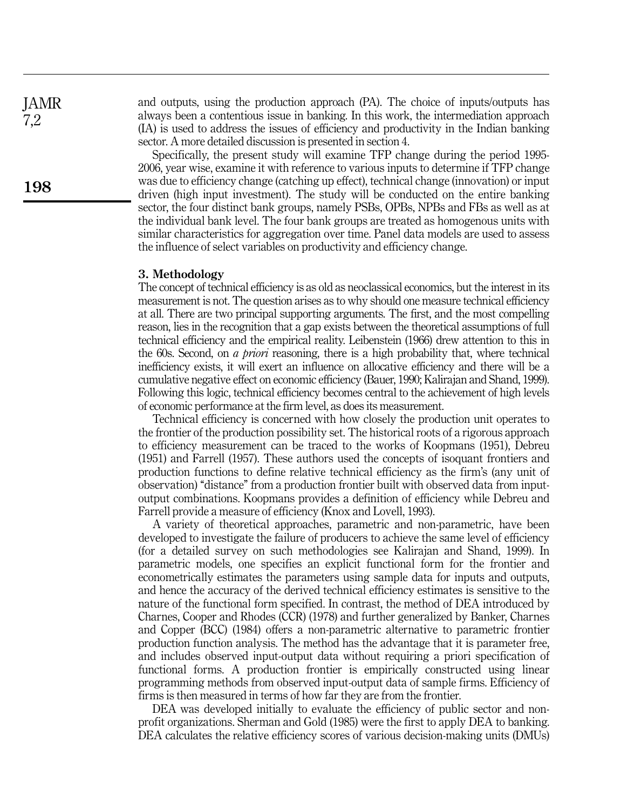and outputs, using the production approach (PA). The choice of inputs/outputs has always been a contentious issue in banking. In this work, the intermediation approach (IA) is used to address the issues of efficiency and productivity in the Indian banking sector. A more detailed discussion is presented in section 4.

Specifically, the present study will examine TFP change during the period 1995- 2006, year wise, examine it with reference to various inputs to determine if TFP change was due to efficiency change (catching up effect), technical change (innovation) or input driven (high input investment). The study will be conducted on the entire banking sector, the four distinct bank groups, namely PSBs, OPBs, NPBs and FBs as well as at the individual bank level. The four bank groups are treated as homogenous units with similar characteristics for aggregation over time. Panel data models are used to assess the influence of select variables on productivity and efficiency change.

#### 3. Methodology

The concept of technical efficiency is as old as neoclassical economics, but the interest in its measurement is not. The question arises as to why should one measure technical efficiency at all. There are two principal supporting arguments. The first, and the most compelling reason, lies in the recognition that a gap exists between the theoretical assumptions of full technical efficiency and the empirical reality. Leibenstein (1966) drew attention to this in the 60s. Second, on *a priori* reasoning, there is a high probability that, where technical inefficiency exists, it will exert an influence on allocative efficiency and there will be a cumulative negative effect on economic efficiency (Bauer, 1990; Kalirajan and Shand, 1999). Following this logic, technical efficiency becomes central to the achievement of high levels of economic performance at the firm level, as does its measurement.

Technical efficiency is concerned with how closely the production unit operates to the frontier of the production possibility set. The historical roots of a rigorous approach to efficiency measurement can be traced to the works of Koopmans (1951), Debreu (1951) and Farrell (1957). These authors used the concepts of isoquant frontiers and production functions to define relative technical efficiency as the firm's (any unit of observation) "distance" from a production frontier built with observed data from inputoutput combinations. Koopmans provides a definition of efficiency while Debreu and Farrell provide a measure of efficiency (Knox and Lovell, 1993).

A variety of theoretical approaches, parametric and non-parametric, have been developed to investigate the failure of producers to achieve the same level of efficiency (for a detailed survey on such methodologies see Kalirajan and Shand, 1999). In parametric models, one specifies an explicit functional form for the frontier and econometrically estimates the parameters using sample data for inputs and outputs, and hence the accuracy of the derived technical efficiency estimates is sensitive to the nature of the functional form specified. In contrast, the method of DEA introduced by Charnes, Cooper and Rhodes (CCR) (1978) and further generalized by Banker, Charnes and Copper (BCC) (1984) offers a non-parametric alternative to parametric frontier production function analysis. The method has the advantage that it is parameter free, and includes observed input-output data without requiring a priori specification of functional forms. A production frontier is empirically constructed using linear programming methods from observed input-output data of sample firms. Efficiency of firms is then measured in terms of how far they are from the frontier.

DEA was developed initially to evaluate the efficiency of public sector and nonprofit organizations. Sherman and Gold (1985) were the first to apply DEA to banking. DEA calculates the relative efficiency scores of various decision-making units (DMUs)

JAMR 7,2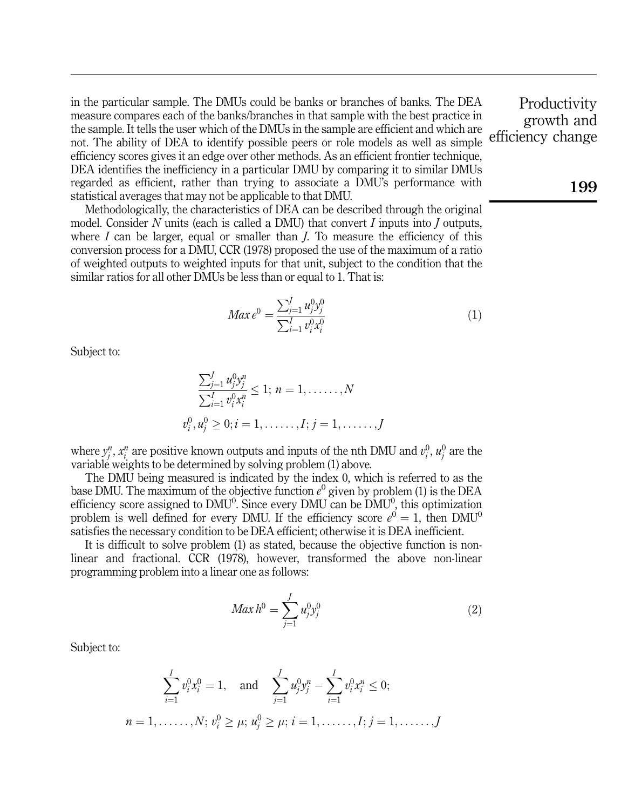in the particular sample. The DMUs could be banks or branches of banks. The DEA measure compares each of the banks/branches in that sample with the best practice in the sample. It tells the user which of the DMUs in the sample are efficient and which are not. The ability of DEA to identify possible peers or role models as well as simple efficiency scores gives it an edge over other methods. As an efficient frontier technique, DEA identifies the inefficiency in a particular DMU by comparing it to similar DMUs regarded as efficient, rather than trying to associate a DMU's performance with statistical averages that may not be applicable to that DMU.

Methodologically, the characteristics of DEA can be described through the original model. Consider *N* units (each is called a DMU) that convert *I* inputs into *J* outputs, where *I* can be larger, equal or smaller than *J*. To measure the efficiency of this conversion process for a DMU, CCR (1978) proposed the use of the maximum of a ratio of weighted outputs to weighted inputs for that unit, subject to the condition that the similar ratios for all other DMUs be less than or equal to 1. That is:

$$
Max\,e^0 = \frac{\sum_{j=1}^{J} u_j^0 y_j^0}{\sum_{i=1}^{I} v_i^0 x_i^0}
$$
\n(1)

Subject to:

$$
\frac{\sum_{j=1}^{J} u_j^0 y_j^n}{\sum_{i=1}^{I} v_i^0 x_i^n} \le 1; n = 1, ..., N
$$
  

$$
v_i^0, u_j^0 \ge 0; i = 1, ..., I; j = 1, ..., J
$$

where  $y_j^n$ ,  $x_i^n$  are positive known outputs and inputs of the nth DMU and  $v_i^0$ ,  $u_j^0$  are the variable weights to be determined by solving problem (1) above.

The DMU being measured is indicated by the index 0, which is referred to as the base DMU. The maximum of the objective function  $e^0$  given by problem (1) is the DEA efficiency score assigned to  $\text{DMU}^0$ . Since every DMU can be  $\text{DMU}^0$ , this optimization problem is well defined for every DMU. If the efficiency score  $e^0 = 1$ , then DMU<sup>0</sup> satisfies the necessary condition to be DEA efficient; otherwise it is DEA inefficient.

It is difficult to solve problem (1) as stated, because the objective function is nonlinear and fractional. CCR (1978), however, transformed the above non-linear programming problem into a linear one as follows:

$$
Max \, h^0 = \sum_{j=1}^{J} u_j^0 y_j^0 \tag{2}
$$

Subject to:

$$
\sum_{i=1}^{I} v_i^0 x_i^0 = 1, \text{ and } \sum_{j=1}^{J} u_j^0 y_j^n - \sum_{i=1}^{I} v_i^0 x_i^n \le 0;
$$
  

$$
n = 1, \dots, N; v_i^0 \ge \mu; u_j^0 \ge \mu; i = 1, \dots, I; j = 1, \dots, J
$$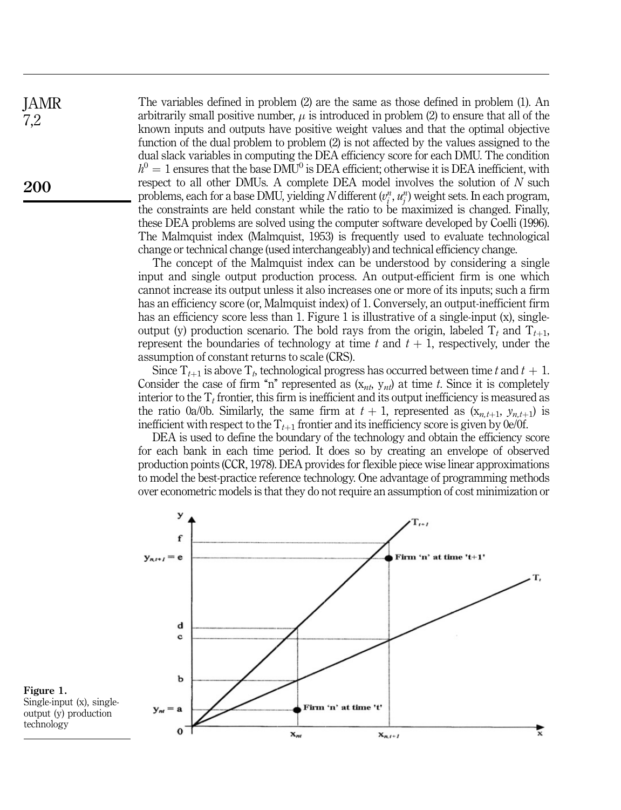The variables defined in problem (2) are the same as those defined in problem (1). An arbitrarily small positive number,  $\mu$  is introduced in problem (2) to ensure that all of the known inputs and outputs have positive weight values and that the optimal objective function of the dual problem to problem (2) is not affected by the values assigned to the dual slack variables in computing the DEA efficiency score for each DMU. The condition  $h^0 = 1$  ensures that the base DMU<sup>0</sup> is DEA efficient; otherwise it is DEA inefficient, with respect to all other DMUs. A complete DEA model involves the solution of *N* such problems, each for a base DMU, yielding  $N$  different  $(v_i^n, u_j^n)$  weight sets. In each program, the constraints are held constant while the ratio to be maximized is changed. Finally, these DEA problems are solved using the computer software developed by Coelli (1996). The Malmquist index (Malmquist, 1953) is frequently used to evaluate technological change or technical change (used interchangeably) and technical efficiency change.

The concept of the Malmquist index can be understood by considering a single input and single output production process. An output-efficient firm is one which cannot increase its output unless it also increases one or more of its inputs; such a firm has an efficiency score (or, Malmquist index) of 1. Conversely, an output-inefficient firm has an efficiency score less than 1. Figure 1 is illustrative of a single-input  $(x)$ , singleoutput (y) production scenario. The bold rays from the origin, labeled  $T_t$  and  $T_{t+1}$ , represent the boundaries of technology at time  $t$  and  $t + 1$ , respectively, under the assumption of constant returns to scale (CRS).

Since  $T_{t+1}$  is above  $T_t$ , technological progress has occurred between time *t* and  $t + 1$ . Consider the case of firm "n" represented as  $(x<sub>nt</sub>, y<sub>nt</sub>)$  at time *t*. Since it is completely interior to the  $\mathrm{T}_t$  frontier, this firm is inefficient and its output inefficiency is measured as the ratio 0a/0b. Similarly, the same firm at  $t + 1$ , represented as  $(x_{n,t+1}, y_{n,t+1})$  is inefficient with respect to the  $T_{t+1}$  frontier and its inefficiency score is given by 0e/0f.

DEA is used to define the boundary of the technology and obtain the efficiency score for each bank in each time period. It does so by creating an envelope of observed production points (CCR, 1978). DEA provides for flexible piece wise linear approximations to model the best-practice reference technology. One advantage of programming methods over econometric models is that they do not require an assumption of cost minimization or





JAMR 7,2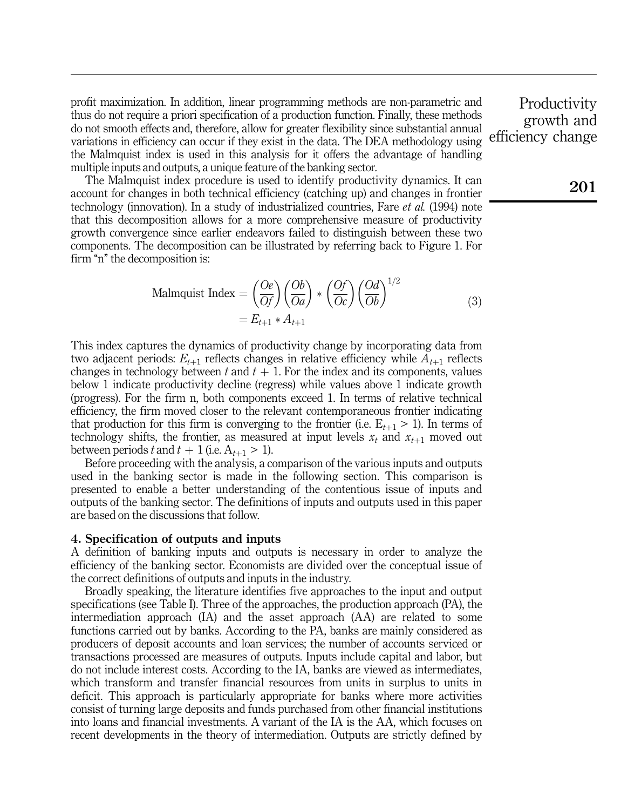profit maximization. In addition, linear programming methods are non-parametric and thus do not require a priori specification of a production function. Finally, these methods do not smooth effects and, therefore, allow for greater flexibility since substantial annual variations in efficiency can occur if they exist in the data. The DEA methodology using the Malmquist index is used in this analysis for it offers the advantage of handling multiple inputs and outputs, a unique feature of the banking sector.

The Malmquist index procedure is used to identify productivity dynamics. It can account for changes in both technical efficiency (catching up) and changes in frontier technology (innovation). In a study of industrialized countries, Fare *et al.* (1994) note that this decomposition allows for a more comprehensive measure of productivity growth convergence since earlier endeavors failed to distinguish between these two components. The decomposition can be illustrated by referring back to Figure 1. For firm "n" the decomposition is:

Malmquist Index 
$$
=\left(\frac{Oe}{Of}\right)\left(\frac{Ob}{Oa}\right) * \left(\frac{Of}{Oc}\right)\left(\frac{Od}{Ob}\right)^{1/2}
$$
  
 $= E_{t+1} * A_{t+1}$  (3)

This index captures the dynamics of productivity change by incorporating data from two adjacent periods:  $E_{t+1}$  reflects changes in relative efficiency while  $A_{t+1}$  reflects changes in technology between  $t$  and  $t + 1$ . For the index and its components, values below 1 indicate productivity decline (regress) while values above 1 indicate growth (progress). For the firm n, both components exceed 1. In terms of relative technical efficiency, the firm moved closer to the relevant contemporaneous frontier indicating that production for this firm is converging to the frontier (i.e.  $E_{t+1} > 1$ ). In terms of technology shifts, the frontier, as measured at input levels  $x_t$  and  $x_{t+1}$  moved out between periods *t* and  $t + 1$  (i.e.  $A_{t+1} > 1$ ).

Before proceeding with the analysis, a comparison of the various inputs and outputs used in the banking sector is made in the following section. This comparison is presented to enable a better understanding of the contentious issue of inputs and outputs of the banking sector. The definitions of inputs and outputs used in this paper are based on the discussions that follow.

## 4. Specification of outputs and inputs

A definition of banking inputs and outputs is necessary in order to analyze the efficiency of the banking sector. Economists are divided over the conceptual issue of the correct definitions of outputs and inputs in the industry.

Broadly speaking, the literature identifies five approaches to the input and output specifications (see Table I). Three of the approaches, the production approach (PA), the intermediation approach (IA) and the asset approach (AA) are related to some functions carried out by banks. According to the PA, banks are mainly considered as producers of deposit accounts and loan services; the number of accounts serviced or transactions processed are measures of outputs. Inputs include capital and labor, but do not include interest costs. According to the IA, banks are viewed as intermediates, which transform and transfer financial resources from units in surplus to units in deficit. This approach is particularly appropriate for banks where more activities consist of turning large deposits and funds purchased from other financial institutions into loans and financial investments. A variant of the IA is the AA, which focuses on recent developments in the theory of intermediation. Outputs are strictly defined by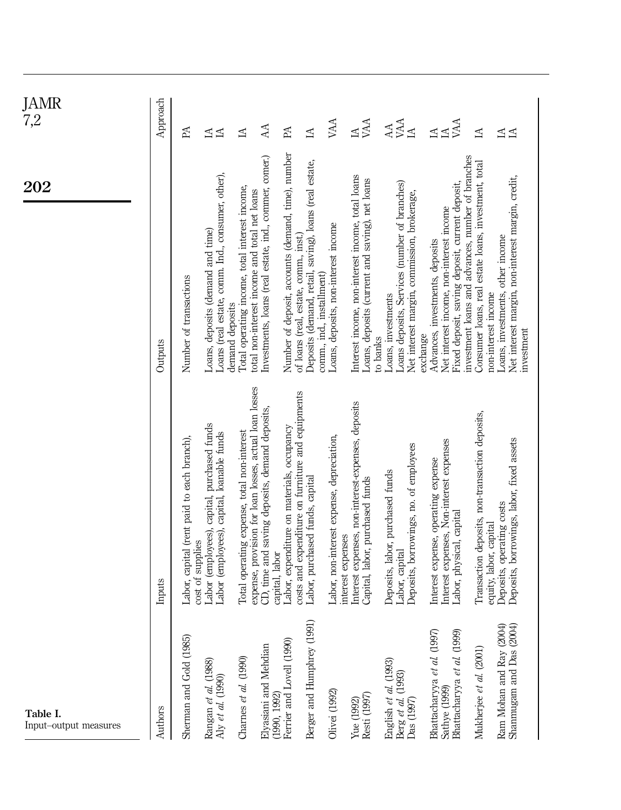| JAMR<br>$\bar{7,2}$               | Approach | PA                                         | $\Delta$<br>$\Delta$                                                                                          | $\overline{\mathbb{A}}$                                           | AA                                                                                                       | PA                                                           | $\Delta$                                                                                        | VAA                                                               | VAA<br>$\overline{\mathbb{A}}$                                                                             | AA<br>IA<br>IA                                                                                                                 | $\mathbb{A}^{\mathbb{A}}$                                                                                                                  | $\Delta$                                                                                                  | $\Delta$<br>$\Delta$                                                                                                       |
|-----------------------------------|----------|--------------------------------------------|---------------------------------------------------------------------------------------------------------------|-------------------------------------------------------------------|----------------------------------------------------------------------------------------------------------|--------------------------------------------------------------|-------------------------------------------------------------------------------------------------|-------------------------------------------------------------------|------------------------------------------------------------------------------------------------------------|--------------------------------------------------------------------------------------------------------------------------------|--------------------------------------------------------------------------------------------------------------------------------------------|-----------------------------------------------------------------------------------------------------------|----------------------------------------------------------------------------------------------------------------------------|
| 202                               | Outputs  | Number of transactions                     | Loans (real estate, comm. Ind., consumer, other),<br>Loans, deposits (demand and time)                        | Total operating income, total interest income,<br>demand deposits | investments, loans (real estate, ind., commer, comer.)<br>total non-interest income and total net loans  | Number of deposit, accounts (demand, time), number           | Deposits (demand, retail, saving), loans (real estate,<br>of loans (real, estate, comm., inst.) | Loans, deposits, non-interest income<br>comm., ind., installment) | Interest income, non-interest income, total loans<br>Loans, deposits (current and saving), net loans       | Loans deposits, Services (number of branches)<br>Net interest margin, commission, brokerage,<br>Coans, investments<br>to banks | Fixed deposit, saving deposit, current deposit,<br>Net interest income, non-interest income<br>Advances, investments, deposits<br>exchange | investment loans and advances, number of branches<br>Consumer loans, real estate loans, investment, total | Net interest margin, non-interest margin, credit,<br>Loans, investments, other income<br>non-interest income<br>investment |
|                                   | Inputs   | Labor, capital (rent paid to each branch), | Labor (employees), capital, purchased funds<br>Labor (employees), capital, loanable funds<br>cost of supplies | Total operating expense, total non-interest                       | expense, provision for loan losses, actual loan losses<br>CD, time and saving deposits, demand deposits, | Labor, expenditure on materials, occupancy<br>capital, labor | costs and expenditure on furniture and equipments<br>Labor, purchased funds, capital            | Labor, non-interest expense, depreciation,                        | Interest expenses, non-interest-expenses, deposits<br>Capital, labor, purchased funds<br>interest expenses | Deposits, borrowings, no. of employees<br>Deposits, labor, purchased funds<br>Labor, capital                                   | Interest expenses, Non-interest expenses<br>Interest expense, operating expense<br>Labor, physical, capital                                | Transaction deposits, non-transaction deposits,                                                           | Deposits, borrowings, labor, fixed assets<br>Deposits, operating costs<br>equity, labor, capital                           |
| Table I.<br>Input-output measures | Authors  | Sherman and Gold (1985)                    | Rangan et al. (1988)<br>Aly et al. (1990)                                                                     | Charnes et al. (1990)                                             | Elyasiani and Mehdian<br>(1990, 1992)                                                                    | Ferrier and Lovell (1990)                                    | Berger and Humphrey (1991                                                                       | Olivei (1992)                                                     | Yue (1992)<br>Resti (1997)                                                                                 | English et al. (1993)<br>Berg <i>et al.</i> (1993)<br>Das (1997)                                                               | Bhattacharyya et al. (1997)<br>Bhattacharyya et al. (1999)<br>Sathye (1999)                                                                | Mukherjee et al. (2001)                                                                                   | Ram Mohan and Ray (2004)<br>Shamnugam and Das (2004)                                                                       |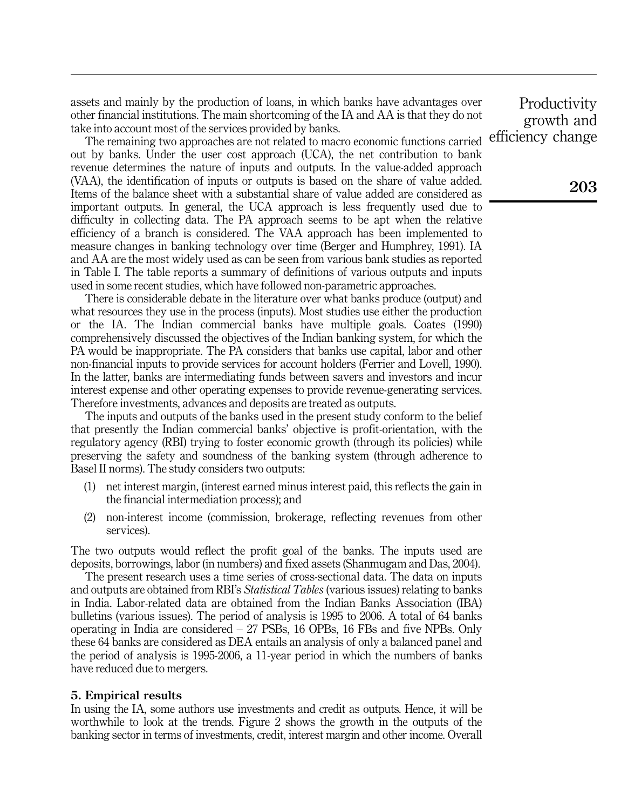assets and mainly by the production of loans, in which banks have advantages over other financial institutions. The main shortcoming of the IA and AA is that they do not take into account most of the services provided by banks.

The remaining two approaches are not related to macro economic functions carried out by banks. Under the user cost approach (UCA), the net contribution to bank revenue determines the nature of inputs and outputs. In the value-added approach (VAA), the identification of inputs or outputs is based on the share of value added. Items of the balance sheet with a substantial share of value added are considered as important outputs. In general, the UCA approach is less frequently used due to difficulty in collecting data. The PA approach seems to be apt when the relative efficiency of a branch is considered. The VAA approach has been implemented to measure changes in banking technology over time (Berger and Humphrey, 1991). IA and AA are the most widely used as can be seen from various bank studies as reported in Table I. The table reports a summary of definitions of various outputs and inputs used in some recent studies, which have followed non-parametric approaches.

There is considerable debate in the literature over what banks produce (output) and what resources they use in the process (inputs). Most studies use either the production or the IA. The Indian commercial banks have multiple goals. Coates (1990) comprehensively discussed the objectives of the Indian banking system, for which the PA would be inappropriate. The PA considers that banks use capital, labor and other non-financial inputs to provide services for account holders (Ferrier and Lovell, 1990). In the latter, banks are intermediating funds between savers and investors and incur interest expense and other operating expenses to provide revenue-generating services. Therefore investments, advances and deposits are treated as outputs.

The inputs and outputs of the banks used in the present study conform to the belief that presently the Indian commercial banks' objective is profit-orientation, with the regulatory agency (RBI) trying to foster economic growth (through its policies) while preserving the safety and soundness of the banking system (through adherence to Basel II norms). The study considers two outputs:

- (1) net interest margin, (interest earned minus interest paid, this reflects the gain in the financial intermediation process); and
- (2) non-interest income (commission, brokerage, reflecting revenues from other services).

The two outputs would reflect the profit goal of the banks. The inputs used are deposits, borrowings, labor (in numbers) and fixed assets (Shanmugam and Das, 2004).

The present research uses a time series of cross-sectional data. The data on inputs and outputs are obtained from RBI's *Statistical Tables* (various issues) relating to banks in India. Labor-related data are obtained from the Indian Banks Association (IBA) bulletins (various issues). The period of analysis is 1995 to 2006. A total of 64 banks operating in India are considered – 27 PSBs, 16 OPBs, 16 FBs and five NPBs. Only these 64 banks are considered as DEA entails an analysis of only a balanced panel and the period of analysis is 1995-2006, a 11-year period in which the numbers of banks have reduced due to mergers.

# 5. Empirical results

In using the IA, some authors use investments and credit as outputs. Hence, it will be worthwhile to look at the trends. Figure 2 shows the growth in the outputs of the banking sector in terms of investments, credit, interest margin and other income. Overall

Productivity growth and efficiency change

203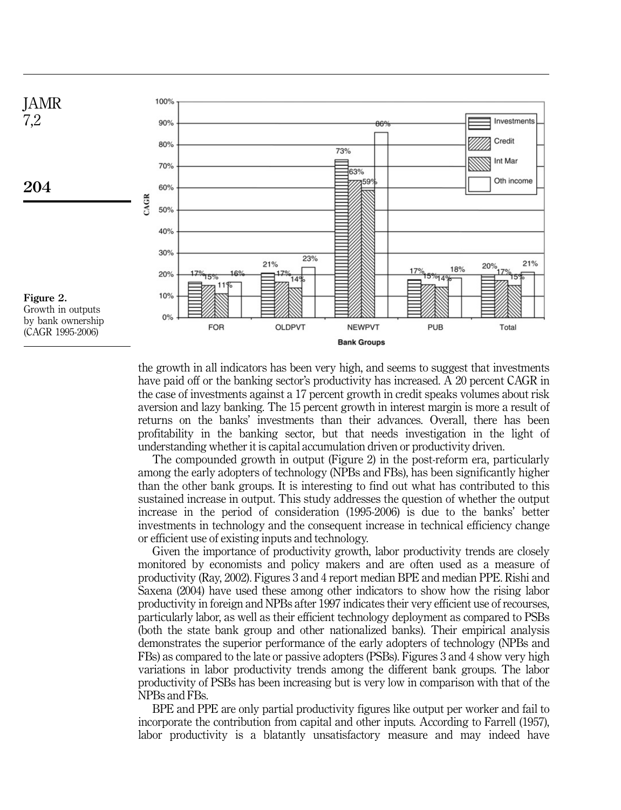

the growth in all indicators has been very high, and seems to suggest that investments have paid off or the banking sector's productivity has increased. A 20 percent CAGR in the case of investments against a 17 percent growth in credit speaks volumes about risk aversion and lazy banking. The 15 percent growth in interest margin is more a result of returns on the banks' investments than their advances. Overall, there has been profitability in the banking sector, but that needs investigation in the light of understanding whether it is capital accumulation driven or productivity driven.

The compounded growth in output (Figure 2) in the post-reform era, particularly among the early adopters of technology (NPBs and FBs), has been significantly higher than the other bank groups. It is interesting to find out what has contributed to this sustained increase in output. This study addresses the question of whether the output increase in the period of consideration (1995-2006) is due to the banks' better investments in technology and the consequent increase in technical efficiency change or efficient use of existing inputs and technology.

Given the importance of productivity growth, labor productivity trends are closely monitored by economists and policy makers and are often used as a measure of productivity (Ray, 2002). Figures 3 and 4 report median BPE and median PPE. Rishi and Saxena (2004) have used these among other indicators to show how the rising labor productivity in foreign and NPBs after 1997 indicates their very efficient use of recourses, particularly labor, as well as their efficient technology deployment as compared to PSBs (both the state bank group and other nationalized banks). Their empirical analysis demonstrates the superior performance of the early adopters of technology (NPBs and FBs) as compared to the late or passive adopters (PSBs). Figures 3 and 4 show very high variations in labor productivity trends among the different bank groups. The labor productivity of PSBs has been increasing but is very low in comparison with that of the NPBs and FBs.

BPE and PPE are only partial productivity figures like output per worker and fail to incorporate the contribution from capital and other inputs. According to Farrell (1957), labor productivity is a blatantly unsatisfactory measure and may indeed have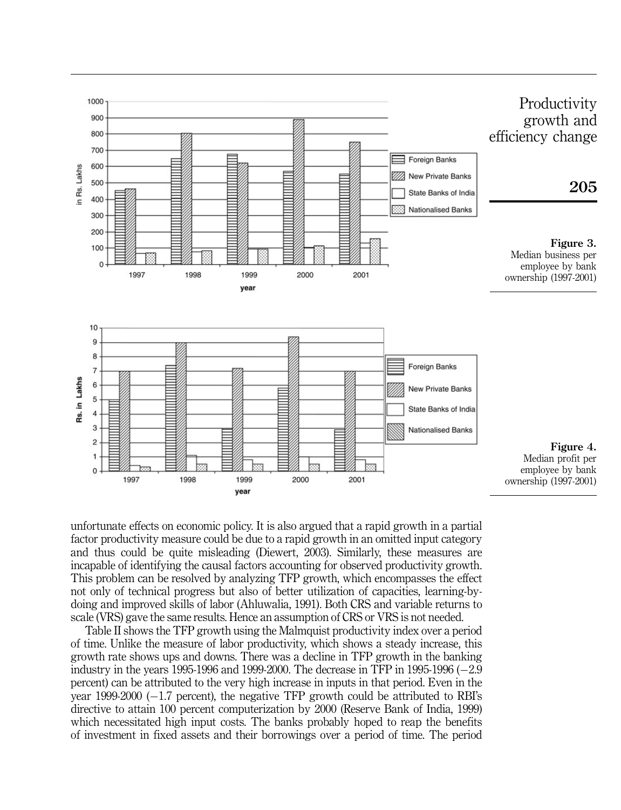

unfortunate effects on economic policy. It is also argued that a rapid growth in a partial factor productivity measure could be due to a rapid growth in an omitted input category and thus could be quite misleading (Diewert, 2003). Similarly, these measures are incapable of identifying the causal factors accounting for observed productivity growth. This problem can be resolved by analyzing TFP growth, which encompasses the effect not only of technical progress but also of better utilization of capacities, learning-bydoing and improved skills of labor (Ahluwalia, 1991). Both CRS and variable returns to scale (VRS) gave the same results. Hence an assumption of CRS or VRS is not needed.

Table II shows the TFP growth using the Malmquist productivity index over a period of time. Unlike the measure of labor productivity, which shows a steady increase, this growth rate shows ups and downs. There was a decline in TFP growth in the banking industry in the years 1995-1996 and 1999-2000. The decrease in TFP in 1995-1996  $(-2.9$ percent) can be attributed to the very high increase in inputs in that period. Even in the year 1999-2000  $(-1.7 \text{ percent})$ , the negative TFP growth could be attributed to RBI's directive to attain 100 percent computerization by 2000 (Reserve Bank of India, 1999) which necessitated high input costs. The banks probably hoped to reap the benefits of investment in fixed assets and their borrowings over a period of time. The period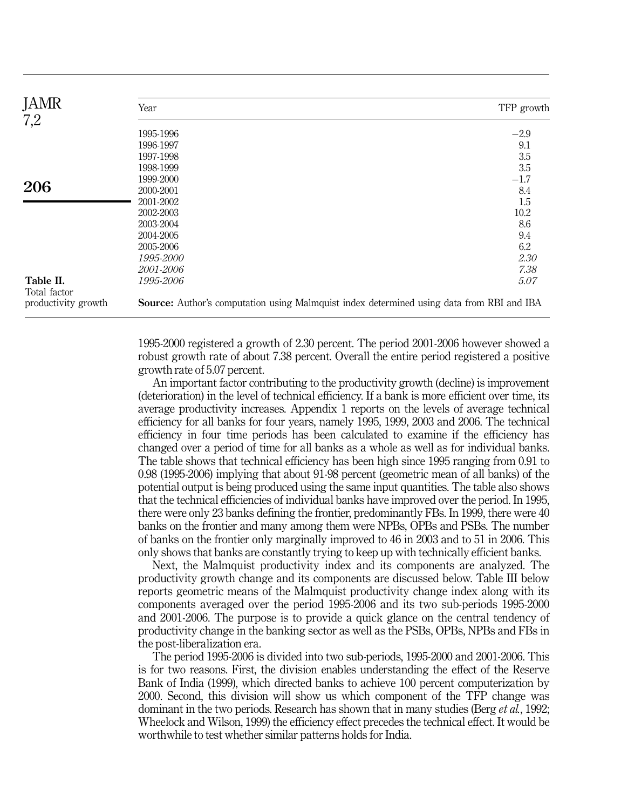| JAMR<br>7,2               | Year                                                                                             | TFP growth |
|---------------------------|--------------------------------------------------------------------------------------------------|------------|
|                           | 1995-1996                                                                                        | $-2.9$     |
|                           | 1996-1997                                                                                        | 9.1        |
|                           | 1997-1998                                                                                        | 3.5        |
|                           | 1998-1999                                                                                        | 3.5        |
|                           | 1999-2000                                                                                        | $-1.7$     |
| 206                       | 2000-2001                                                                                        | 8.4        |
|                           | 2001-2002                                                                                        | 1.5        |
|                           | 2002-2003                                                                                        | 10.2       |
|                           | 2003-2004                                                                                        | 8.6        |
|                           | 2004-2005                                                                                        | 9.4        |
|                           | 2005-2006                                                                                        | 6.2        |
|                           | 1995-2000                                                                                        | 2.30       |
|                           | 2001-2006                                                                                        | 7.38       |
| Table II.<br>Total factor | 1995-2006                                                                                        | 5.07       |
| productivity growth       | <b>Source:</b> Author's computation using Malmquist index determined using data from RBI and IBA |            |

1995-2000 registered a growth of 2.30 percent. The period 2001-2006 however showed a robust growth rate of about 7.38 percent. Overall the entire period registered a positive growth rate of 5.07 percent.

An important factor contributing to the productivity growth (decline) is improvement (deterioration) in the level of technical efficiency. If a bank is more efficient over time, its average productivity increases. Appendix 1 reports on the levels of average technical efficiency for all banks for four years, namely 1995, 1999, 2003 and 2006. The technical efficiency in four time periods has been calculated to examine if the efficiency has changed over a period of time for all banks as a whole as well as for individual banks. The table shows that technical efficiency has been high since 1995 ranging from 0.91 to 0.98 (1995-2006) implying that about 91-98 percent (geometric mean of all banks) of the potential output is being produced using the same input quantities. The table also shows that the technical efficiencies of individual banks have improved over the period. In 1995, there were only 23 banks defining the frontier, predominantly FBs. In 1999, there were 40 banks on the frontier and many among them were NPBs, OPBs and PSBs. The number of banks on the frontier only marginally improved to 46 in 2003 and to 51 in 2006. This only shows that banks are constantly trying to keep up with technically efficient banks.

Next, the Malmquist productivity index and its components are analyzed. The productivity growth change and its components are discussed below. Table III below reports geometric means of the Malmquist productivity change index along with its components averaged over the period 1995-2006 and its two sub-periods 1995-2000 and 2001-2006. The purpose is to provide a quick glance on the central tendency of productivity change in the banking sector as well as the PSBs, OPBs, NPBs and FBs in the post-liberalization era.

The period 1995-2006 is divided into two sub-periods, 1995-2000 and 2001-2006. This is for two reasons. First, the division enables understanding the effect of the Reserve Bank of India (1999), which directed banks to achieve 100 percent computerization by 2000. Second, this division will show us which component of the TFP change was dominant in the two periods. Research has shown that in many studies (Berg *et al.*, 1992; Wheelock and Wilson, 1999) the efficiency effect precedes the technical effect. It would be worthwhile to test whether similar patterns holds for India.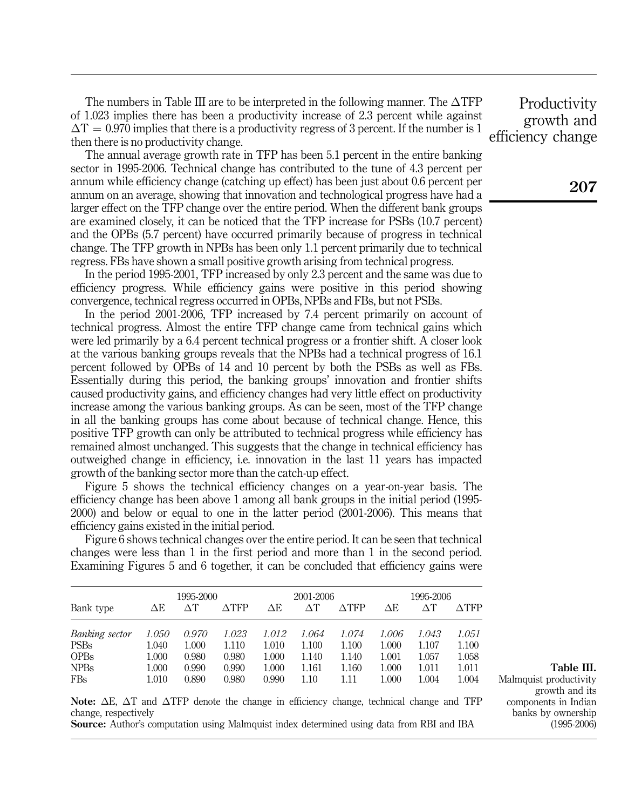The numbers in Table III are to be interpreted in the following manner. The  $\Delta \mathrm{TFP}$ of 1.023 implies there has been a productivity increase of 2.3 percent while against  $\Delta T = 0.970$  implies that there is a productivity regress of 3 percent. If the number is 1 then there is no productivity change.

The annual average growth rate in TFP has been 5.1 percent in the entire banking sector in 1995-2006. Technical change has contributed to the tune of 4.3 percent per annum while efficiency change (catching up effect) has been just about 0.6 percent per annum on an average, showing that innovation and technological progress have had a larger effect on the TFP change over the entire period. When the different bank groups are examined closely, it can be noticed that the TFP increase for PSBs (10.7 percent) and the OPBs (5.7 percent) have occurred primarily because of progress in technical change. The TFP growth in NPBs has been only 1.1 percent primarily due to technical regress. FBs have shown a small positive growth arising from technical progress.

In the period 1995-2001, TFP increased by only 2.3 percent and the same was due to efficiency progress. While efficiency gains were positive in this period showing convergence, technical regress occurred in OPBs, NPBs and FBs, but not PSBs.

In the period 2001-2006, TFP increased by 7.4 percent primarily on account of technical progress. Almost the entire TFP change came from technical gains which were led primarily by a 6.4 percent technical progress or a frontier shift. A closer look at the various banking groups reveals that the NPBs had a technical progress of 16.1 percent followed by OPBs of 14 and 10 percent by both the PSBs as well as FBs. Essentially during this period, the banking groups' innovation and frontier shifts caused productivity gains, and efficiency changes had very little effect on productivity increase among the various banking groups. As can be seen, most of the TFP change in all the banking groups has come about because of technical change. Hence, this positive TFP growth can only be attributed to technical progress while efficiency has remained almost unchanged. This suggests that the change in technical efficiency has outweighed change in efficiency, i.e. innovation in the last 11 years has impacted growth of the banking sector more than the catch-up effect.

Figure 5 shows the technical efficiency changes on a year-on-year basis. The efficiency change has been above 1 among all bank groups in the initial period (1995- 2000) and below or equal to one in the latter period (2001-2006). This means that efficiency gains existed in the initial period.

Figure 6 shows technical changes over the entire period. It can be seen that technical changes were less than 1 in the first period and more than 1 in the second period. Examining Figures 5 and 6 together, it can be concluded that efficiency gains were

|                | 1995-2000 |            |                     |       | 2001-2006  |              | 1995-2006 |            |                 |
|----------------|-----------|------------|---------------------|-------|------------|--------------|-----------|------------|-----------------|
| Bank type      | ΔЕ        | $\Delta T$ | $\Delta \text{TFP}$ | ΔE    | $\Delta T$ | $\wedge$ TFP | ΔE        | $\wedge$ T | $\triangle$ TFP |
| Banking sector | 1.050     | 0.970      | 1.023               | 1.012 | 1.064      | 1.074        | 1.006     | 1.043      | 1.051           |
| <b>PSBs</b>    | 1.040     | 1.000      | 1.110               | 1.010 | 1.100      | 1.100        | 1.000     | 1.107      | 1.100           |
| <b>OPBs</b>    | 1.000     | 0.980      | 0.980               | 1.000 | 1.140      | 1.140        | 1.001     | 1.057      | 1.058           |
| <b>NPBs</b>    | 1.000     | 0.990      | 0.990               | 1.000 | 1.161      | 1.160        | 1.000     | 1.011      | 1.011           |
| FBs            | 1.010     | 0.890      | 0.980               | 0.990 | 1.10       | 1.11         | 1.000     | 1.004      | 1.004           |

Note:  $\Delta E$ ,  $\Delta T$  and  $\Delta TFP$  denote the change in efficiency change, technical change and TFP change, respectively

Source: Author's computation using Malmquist index determined using data from RBI and IBA

Productivity growth and efficiency change

207

Table III. Malmquist productivity

growth and its components in Indian banks by ownership (1995-2006)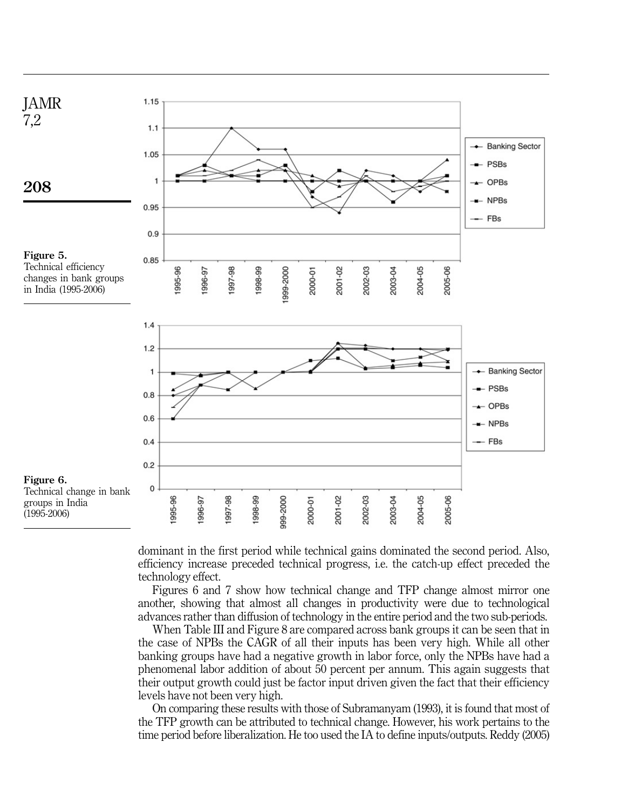

dominant in the first period while technical gains dominated the second period. Also, efficiency increase preceded technical progress, i.e. the catch-up effect preceded the technology effect.

Figures 6 and 7 show how technical change and TFP change almost mirror one another, showing that almost all changes in productivity were due to technological advances rather than diffusion of technology in the entire period and the two sub-periods.

When Table III and Figure 8 are compared across bank groups it can be seen that in the case of NPBs the CAGR of all their inputs has been very high. While all other banking groups have had a negative growth in labor force, only the NPBs have had a phenomenal labor addition of about 50 percent per annum. This again suggests that their output growth could just be factor input driven given the fact that their efficiency levels have not been very high.

On comparing these results with those of Subramanyam (1993), it is found that most of the TFP growth can be attributed to technical change. However, his work pertains to the time period before liberalization. He too used the IA to define inputs/outputs. Reddy (2005)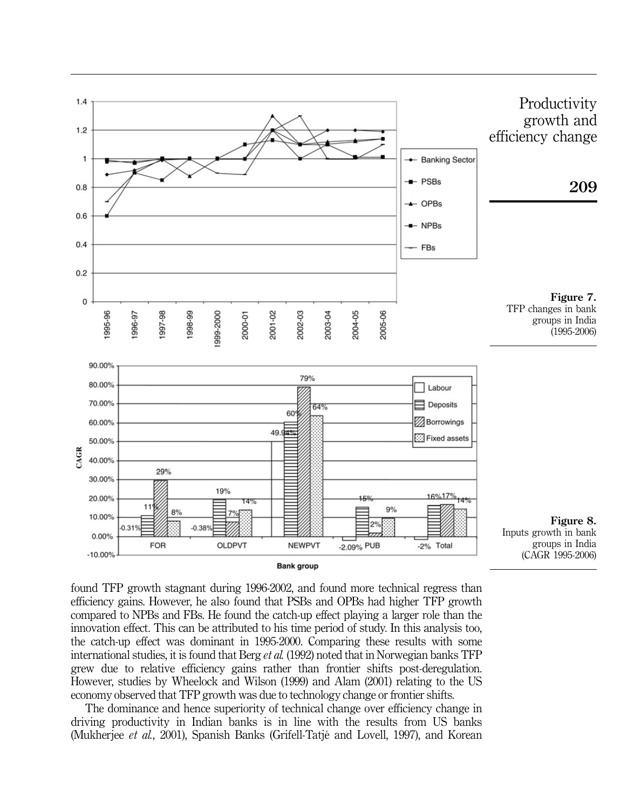

found TFP growth stagnant during 1996-2002, and found more technical regress than efficiency gains. However, he also found that PSBs and OPBs had higher TFP growth compared to NPBs and FBs. He found the catch-up effect playing a larger role than the innovation effect. This can be attributed to his time period of study. In this analysis too, the catch-up effect was dominant in 1995-2000. Comparing these results with some international studies, it is found that Berg *et al.* (1992) noted that in Norwegian banks TFP grew due to relative efficiency gains rather than frontier shifts post-deregulation. However, studies by Wheelock and Wilson (1999) and Alam (2001) relating to the US economy observed that TFP growth was due to technology change or frontier shifts.

The dominance and hence superiority of technical change over efficiency change in driving productivity in Indian banks is in line with the results from US banks (Mukherjee *et al.*, 2001), Spanish Banks (Grifell-Tatjé and Lovell, 1997), and Korean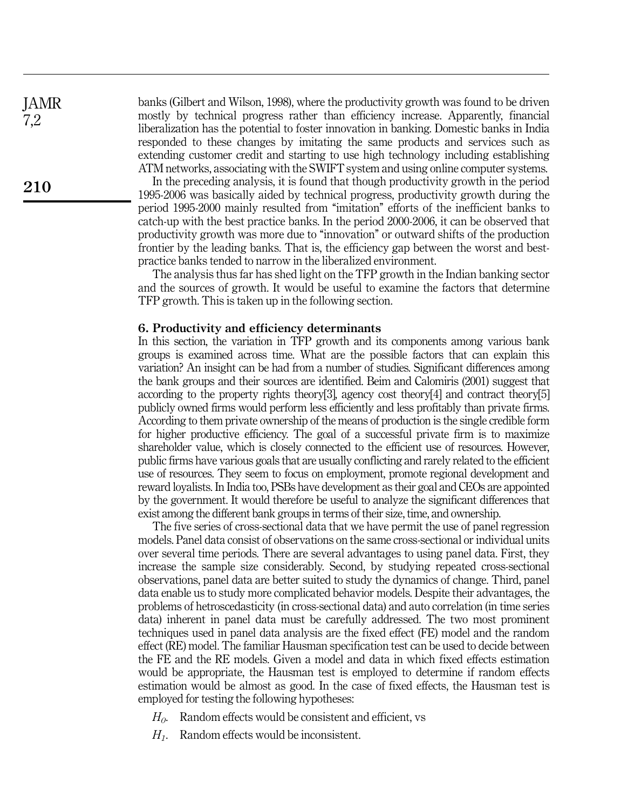banks (Gilbert and Wilson, 1998), where the productivity growth was found to be driven mostly by technical progress rather than efficiency increase. Apparently, financial liberalization has the potential to foster innovation in banking. Domestic banks in India responded to these changes by imitating the same products and services such as extending customer credit and starting to use high technology including establishing ATM networks, associating with the SWIFT system and using online computer systems.

In the preceding analysis, it is found that though productivity growth in the period 1995-2006 was basically aided by technical progress, productivity growth during the period 1995-2000 mainly resulted from ''imitation'' efforts of the inefficient banks to catch-up with the best practice banks. In the period 2000-2006, it can be observed that productivity growth was more due to ''innovation'' or outward shifts of the production frontier by the leading banks. That is, the efficiency gap between the worst and bestpractice banks tended to narrow in the liberalized environment.

The analysis thus far has shed light on the TFP growth in the Indian banking sector and the sources of growth. It would be useful to examine the factors that determine TFP growth. This is taken up in the following section.

#### 6. Productivity and efficiency determinants

In this section, the variation in TFP growth and its components among various bank groups is examined across time. What are the possible factors that can explain this variation? An insight can be had from a number of studies. Significant differences among the bank groups and their sources are identified. Beim and Calomiris (2001) suggest that according to the property rights theory[3], agency cost theory[4] and contract theory[5] publicly owned firms would perform less efficiently and less profitably than private firms. According to them private ownership of the means of production is the single credible form for higher productive efficiency. The goal of a successful private firm is to maximize shareholder value, which is closely connected to the efficient use of resources. However, public firms have various goals that are usually conflicting and rarely related to the efficient use of resources. They seem to focus on employment, promote regional development and reward loyalists. In India too, PSBs have development as their goal and CEOs are appointed by the government. It would therefore be useful to analyze the significant differences that exist among the different bank groups in terms of their size, time, and ownership.

The five series of cross-sectional data that we have permit the use of panel regression models. Panel data consist of observations on the same cross-sectional or individual units over several time periods. There are several advantages to using panel data. First, they increase the sample size considerably. Second, by studying repeated cross-sectional observations, panel data are better suited to study the dynamics of change. Third, panel data enable us to study more complicated behavior models. Despite their advantages, the problems of hetroscedasticity (in cross-sectional data) and auto correlation (in time series data) inherent in panel data must be carefully addressed. The two most prominent techniques used in panel data analysis are the fixed effect (FE) model and the random effect (RE) model. The familiar Hausman specification test can be used to decide between the FE and the RE models. Given a model and data in which fixed effects estimation would be appropriate, the Hausman test is employed to determine if random effects estimation would be almost as good. In the case of fixed effects, the Hausman test is employed for testing the following hypotheses:

- *H0*. Random effects would be consistent and efficient, vs
- *H1*. Random effects would be inconsistent.

210

JAMR 7,2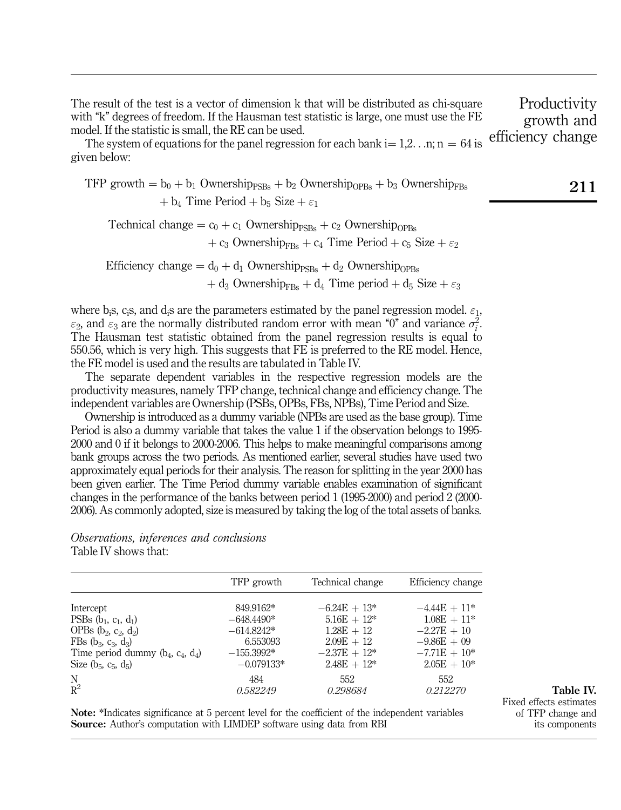The result of the test is a vector of dimension k that will be distributed as chi-square with "k" degrees of freedom. If the Hausman test statistic is large, one must use the FE model. If the statistic is small, the RE can be used.

efficiency change The system of equations for the panel regression for each bank  $i = 1.2...$  n; n = 64 is given below:

TFP growth = 
$$
b_0 + b_1
$$
 Ownership<sub>PSBs</sub> +  $b_2$  Ownership<sub>OPBs</sub> +  $b_3$  Ownership<sub>FBs</sub>  
+  $b_4$  Time Period +  $b_5$  Size +  $\varepsilon_1$ 

Technical change  $=c_0 + c_1$  Ownership<sub>pSBs</sub> + c<sub>2</sub> Ownership<sub>OPBs</sub>  $+ c_3$  Ownership<sub>FBs</sub>  $+ c_4$  Time Period  $+ c_5$  Size  $+ \varepsilon_2$ 

Efficiency change  $= d_0 + d_1$  Ownership<sub>PSBs</sub>  $+ d_2$  Ownership<sub>OPBs</sub>  $+ d_3$  Ownership<sub>EBs</sub>  $+ d_4$  Time period  $+ d_5$  Size  $+ \varepsilon_3$ 

where b<sub>i</sub>s, c<sub>i</sub>s, and d<sub>i</sub>s are the parameters estimated by the panel regression model.  $\varepsilon_1$ ,  $\varepsilon_2$ , and  $\varepsilon_3$  are the normally distributed random error with mean "0" and variance  $\sigma_i^2$ . The Hausman test statistic obtained from the panel regression results is equal to 550.56, which is very high. This suggests that FE is preferred to the RE model. Hence, the FE model is used and the results are tabulated in Table IV.

The separate dependent variables in the respective regression models are the productivity measures, namely TFP change, technical change and efficiency change. The independent variables are Ownership (PSBs, OPBs, FBs, NPBs), Time Period and Size.

Ownership is introduced as a dummy variable (NPBs are used as the base group). Time Period is also a dummy variable that takes the value 1 if the observation belongs to 1995- 2000 and 0 if it belongs to 2000-2006. This helps to make meaningful comparisons among bank groups across the two periods. As mentioned earlier, several studies have used two approximately equal periods for their analysis. The reason for splitting in the year 2000 has been given earlier. The Time Period dummy variable enables examination of significant changes in the performance of the banks between period 1 (1995-2000) and period 2 (2000- 2006). As commonly adopted, size is measured by taking the log of the total assets of banks.

*Observations, inferences and conclusions* Table IV shows that:

|                                     | TFP growth   | Technical change | Efficiency change |
|-------------------------------------|--------------|------------------|-------------------|
| Intercept                           | 849.9162*    | $-6.24E + 13*$   | $-4.44E + 11*$    |
| PSBs $(b_1, c_1, d_1)$              | $-648.4490*$ | $5.16E + 12*$    | $1.08E + 11*$     |
| OPBs $(b_2, c_2, d_2)$              | $-614.8242*$ | $1.28E + 12$     | $-2.27E + 10$     |
| FBs $(b_3, c_3, d_3)$               | 6.553093     | $2.09E + 12$     | $-9.86E + 09$     |
| Time period dummy $(b_4, c_4, d_4)$ | $-155.3992*$ | $-2.37E + 12*$   | $-7.71E + 10*$    |
| Size $(b_5, c_5, d_5)$              | $-0.079133*$ | $2.48E + 12*$    | $2.05E + 10*$     |
| N                                   | 484          | 552              | 552               |
| $R^2$                               | 0.582249     | 0.298684         | 0.212270          |

Note: \*Indicates significance at 5 percent level for the coefficient of the independent variables Source: Author's computation with LIMDEP software using data from RBI

Table IV. Fixed effects estimates of TFP change and its components

Productivity growth and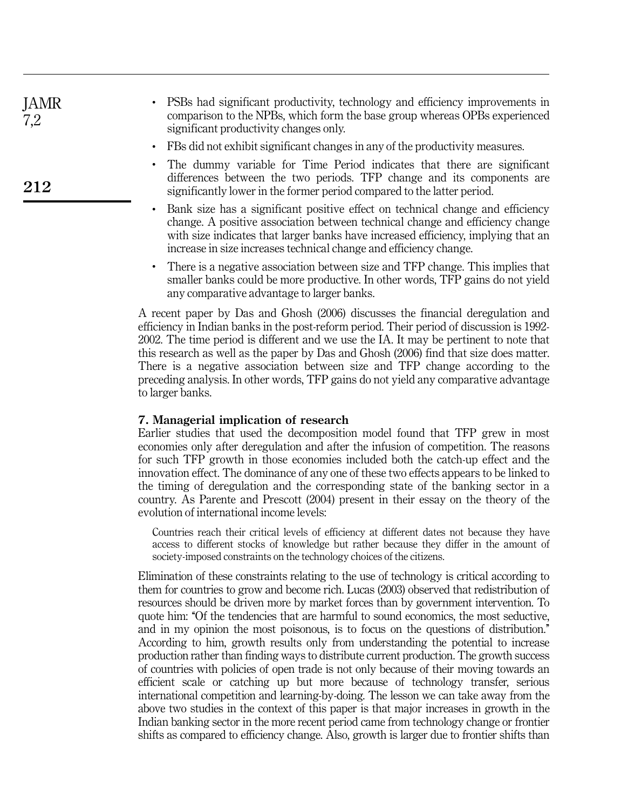| <b>JAMR</b><br>7,2 | • PSBs had significant productivity, technology and efficiency improvements in<br>comparison to the NPBs, which form the base group whereas OPBs experienced<br>significant productivity changes only.                                                                                                                                                                               |
|--------------------|--------------------------------------------------------------------------------------------------------------------------------------------------------------------------------------------------------------------------------------------------------------------------------------------------------------------------------------------------------------------------------------|
|                    | • FBs did not exhibit significant changes in any of the productivity measures.                                                                                                                                                                                                                                                                                                       |
| 212                | • The dummy variable for Time Period indicates that there are significant<br>differences between the two periods. TFP change and its components are<br>significantly lower in the former period compared to the latter period.                                                                                                                                                       |
|                    | • Bank size has a significant positive effect on technical change and efficiency<br>$\mathbf{1}$ and $\mathbf{1}$ and $\mathbf{1}$ and $\mathbf{1}$ and $\mathbf{1}$ and $\mathbf{1}$ and $\mathbf{1}$ and $\mathbf{1}$ and $\mathbf{1}$ and $\mathbf{1}$ and $\mathbf{1}$ and $\mathbf{1}$ and $\mathbf{1}$ and $\mathbf{1}$ and $\mathbf{1}$ and $\mathbf{1}$ and $\mathbf{1}$ and |

- change. A positive association between technical change and efficiency change with size indicates that larger banks have increased efficiency, implying that an increase in size increases technical change and efficiency change.
- . There is a negative association between size and TFP change. This implies that smaller banks could be more productive. In other words, TFP gains do not yield any comparative advantage to larger banks.

A recent paper by Das and Ghosh (2006) discusses the financial deregulation and efficiency in Indian banks in the post-reform period. Their period of discussion is 1992- 2002. The time period is different and we use the IA. It may be pertinent to note that this research as well as the paper by Das and Ghosh (2006) find that size does matter. There is a negative association between size and TFP change according to the preceding analysis. In other words, TFP gains do not yield any comparative advantage to larger banks.

# 7. Managerial implication of research

Earlier studies that used the decomposition model found that TFP grew in most economies only after deregulation and after the infusion of competition. The reasons for such TFP growth in those economies included both the catch-up effect and the innovation effect. The dominance of any one of these two effects appears to be linked to the timing of deregulation and the corresponding state of the banking sector in a country. As Parente and Prescott (2004) present in their essay on the theory of the evolution of international income levels:

Countries reach their critical levels of efficiency at different dates not because they have access to different stocks of knowledge but rather because they differ in the amount of society-imposed constraints on the technology choices of the citizens.

Elimination of these constraints relating to the use of technology is critical according to them for countries to grow and become rich. Lucas (2003) observed that redistribution of resources should be driven more by market forces than by government intervention. To quote him: "Of the tendencies that are harmful to sound economics, the most seductive, and in my opinion the most poisonous, is to focus on the questions of distribution.'' According to him, growth results only from understanding the potential to increase production rather than finding ways to distribute current production. The growth success of countries with policies of open trade is not only because of their moving towards an efficient scale or catching up but more because of technology transfer, serious international competition and learning-by-doing. The lesson we can take away from the above two studies in the context of this paper is that major increases in growth in the Indian banking sector in the more recent period came from technology change or frontier shifts as compared to efficiency change. Also, growth is larger due to frontier shifts than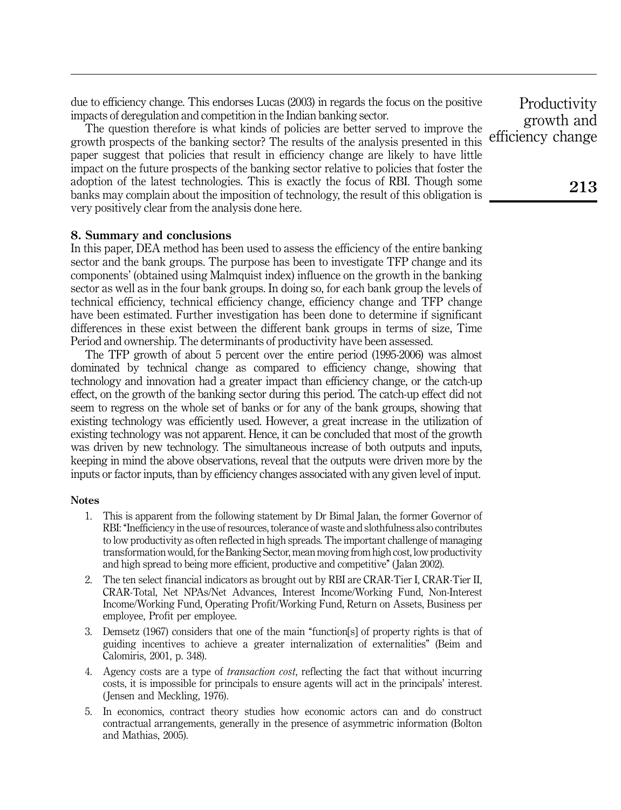due to efficiency change. This endorses Lucas (2003) in regards the focus on the positive impacts of deregulation and competition in the Indian banking sector.

The question therefore is what kinds of policies are better served to improve the growth prospects of the banking sector? The results of the analysis presented in this paper suggest that policies that result in efficiency change are likely to have little impact on the future prospects of the banking sector relative to policies that foster the adoption of the latest technologies. This is exactly the focus of RBI. Though some banks may complain about the imposition of technology, the result of this obligation is very positively clear from the analysis done here.

# 8. Summary and conclusions

In this paper, DEA method has been used to assess the efficiency of the entire banking sector and the bank groups. The purpose has been to investigate TFP change and its components' (obtained using Malmquist index) influence on the growth in the banking sector as well as in the four bank groups. In doing so, for each bank group the levels of technical efficiency, technical efficiency change, efficiency change and TFP change have been estimated. Further investigation has been done to determine if significant differences in these exist between the different bank groups in terms of size, Time Period and ownership. The determinants of productivity have been assessed.

The TFP growth of about 5 percent over the entire period (1995-2006) was almost dominated by technical change as compared to efficiency change, showing that technology and innovation had a greater impact than efficiency change, or the catch-up effect, on the growth of the banking sector during this period. The catch-up effect did not seem to regress on the whole set of banks or for any of the bank groups, showing that existing technology was efficiently used. However, a great increase in the utilization of existing technology was not apparent. Hence, it can be concluded that most of the growth was driven by new technology. The simultaneous increase of both outputs and inputs, keeping in mind the above observations, reveal that the outputs were driven more by the inputs or factor inputs, than by efficiency changes associated with any given level of input.

#### **Notes**

- 1. This is apparent from the following statement by Dr Bimal Jalan, the former Governor of RBI: ''Inefficiency in the use of resources, tolerance of waste and slothfulness also contributes to low productivity as often reflected in high spreads. The important challenge of managing transformation would, for the Banking Sector, mean moving from high cost, low productivity and high spread to being more efficient, productive and competitive'' ( Jalan 2002).
- 2. The ten select financial indicators as brought out by RBI are CRAR-Tier I, CRAR-Tier II, CRAR-Total, Net NPAs/Net Advances, Interest Income/Working Fund, Non-Interest Income/Working Fund, Operating Profit/Working Fund, Return on Assets, Business per employee, Profit per employee.
- 3. Demsetz (1967) considers that one of the main ''function[s] of property rights is that of guiding incentives to achieve a greater internalization of externalities'' (Beim and Calomiris, 2001, p. 348).
- 4. Agency costs are a type of *transaction cost*, reflecting the fact that without incurring costs, it is impossible for principals to ensure agents will act in the principals' interest. ( Jensen and Meckling, 1976).
- 5. In economics, contract theory studies how economic actors can and do construct contractual arrangements, generally in the presence of asymmetric information (Bolton and Mathias, 2005).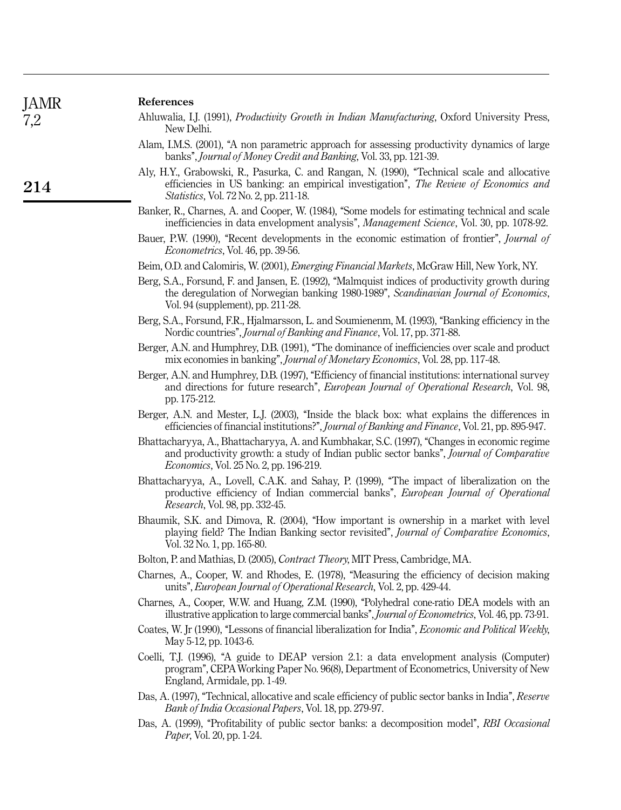| JAMR      | References                                                                                                                                                                                                                                |
|-----------|-------------------------------------------------------------------------------------------------------------------------------------------------------------------------------------------------------------------------------------------|
| 7,2       | Ahluwalia, I.J. (1991), Productivity Growth in Indian Manufacturing, Oxford University Press,<br>New Delhi.                                                                                                                               |
|           | Alam, I.M.S. (2001), "A non parametric approach for assessing productivity dynamics of large<br>banks", <i>Journal of Money Credit and Banking</i> , Vol. 33, pp. 121-39.                                                                 |
| $\bf 214$ | Aly, H.Y., Grabowski, R., Pasurka, C. and Rangan, N. (1990), "Technical scale and allocative<br>efficiencies in US banking: an empirical investigation", The Review of Economics and<br><i>Statistics</i> , Vol. 72 No. 2, pp. 211-18.    |
|           | Banker, R., Charnes, A. and Cooper, W. (1984), "Some models for estimating technical and scale<br>inefficiencies in data envelopment analysis", <i>Management Science</i> , Vol. 30, pp. 1078-92.                                         |
|           | Bauer, P.W. (1990), "Recent developments in the economic estimation of frontier", Journal of<br><i>Econometrics</i> , Vol. 46, pp. 39-56.                                                                                                 |
|           | Beim, O.D. and Calomiris, W. (2001), <i>Emerging Financial Markets</i> , McGraw Hill, New York, NY.                                                                                                                                       |
|           | Berg, S.A., Forsund, F. and Jansen, E. (1992), "Malmquist indices of productivity growth during<br>the deregulation of Norwegian banking 1980-1989", Scandinavian Journal of Economics,<br>Vol. 94 (supplement), pp. 211-28.              |
|           | Berg, S.A., Forsund, F.R., Hjalmarsson, L. and Soumienenm, M. (1993), "Banking efficiency in the<br>Nordic countries", Journal of Banking and Finance, Vol. 17, pp. 371-88.                                                               |
|           | Berger, A.N. and Humphrey, D.B. (1991), "The dominance of inefficiencies over scale and product<br>mix economies in banking", Journal of Monetary Economics, Vol. 28, pp. 117-48.                                                         |
|           | Berger, A.N. and Humphrey, D.B. (1997), "Efficiency of financial institutions: international survey<br>and directions for future research", European Journal of Operational Research, Vol. 98,<br>pp. 175-212.                            |
|           | Berger, A.N. and Mester, L.J. (2003), "Inside the black box: what explains the differences in<br>efficiencies of financial institutions?", Journal of Banking and Finance, Vol. 21, pp. 895-947.                                          |
|           | Bhattacharyya, A., Bhattacharyya, A. and Kumbhakar, S.C. (1997), "Changes in economic regime<br>and productivity growth: a study of Indian public sector banks", Journal of Comparative<br><i>Economics</i> , Vol. 25 No. 2, pp. 196-219. |
|           | Bhattacharyya, A., Lovell, C.A.K. and Sahay, P. (1999), "The impact of liberalization on the<br>productive efficiency of Indian commercial banks", European Journal of Operational<br><i>Research</i> , Vol. 98, pp. 332-45.              |
|           | Bhaumik, S.K. and Dimova, R. (2004), "How important is ownership in a market with level<br>playing field? The Indian Banking sector revisited", Journal of Comparative Economics,<br>Vol. 32 No. 1, pp. 165-80.                           |
|           | Bolton, P. and Mathias, D. (2005), <i>Contract Theory</i> , MIT Press, Cambridge, MA.                                                                                                                                                     |
|           | Charnes, A., Cooper, W. and Rhodes, E. (1978), "Measuring the efficiency of decision making<br>units", European Journal of Operational Research, Vol. 2, pp. 429-44.                                                                      |
|           | Charnes, A., Cooper, W.W. and Huang, Z.M. (1990), "Polyhedral cone-ratio DEA models with an<br>illustrative application to large commercial banks", Journal of Econometrics, Vol. 46, pp. 73-91.                                          |
|           | Coates, W. Jr (1990), "Lessons of financial liberalization for India", Economic and Political Weekly,<br>May 5-12, pp. 1043-6.                                                                                                            |
|           | Coelli, T.J. (1996), "A guide to DEAP version 2.1: a data envelopment analysis (Computer)<br>program", CEPA Working Paper No. 96(8), Department of Econometrics, University of New<br>England, Armidale, pp. 1-49.                        |
|           | Das, A. (1997), "Technical, allocative and scale efficiency of public sector banks in India", Reserve<br>Bank of India Occasional Papers, Vol. 18, pp. 279-97.                                                                            |
|           | Das, A. (1999), "Profitability of public sector banks: a decomposition model", RBI Occasional<br><i>Paper</i> , Vol. 20, pp. 1-24.                                                                                                        |

214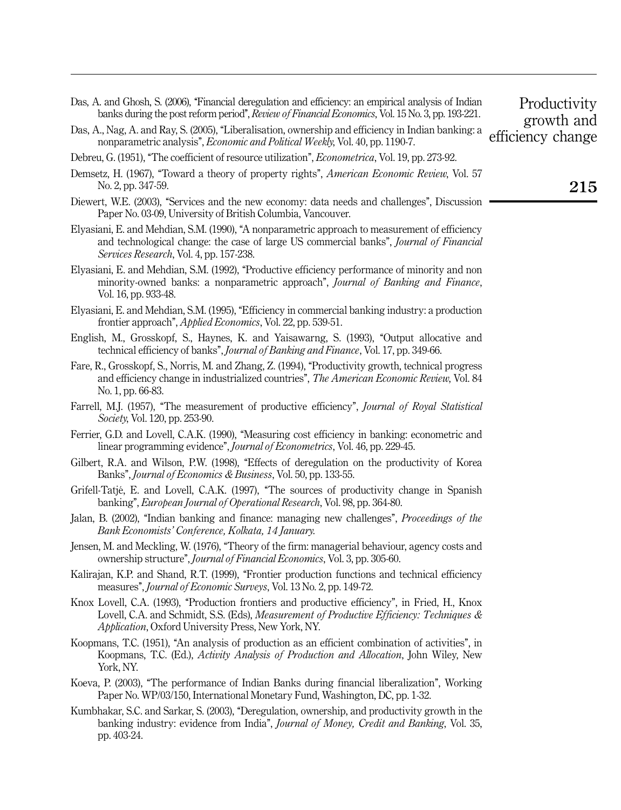| Das, A. and Ghosh, S. (2006), "Financial deregulation and efficiency: an empirical analysis of Indian<br>banks during the post reform period", Review of Financial Economics, Vol. 15 No. 3, pp. 193-221.                                                    | Productivity<br>growth and |
|--------------------------------------------------------------------------------------------------------------------------------------------------------------------------------------------------------------------------------------------------------------|----------------------------|
| Das, A., Nag, A. and Ray, S. (2005), "Liberalisation, ownership and efficiency in Indian banking: a<br>nonparametric analysis", <i>Economic and Political Weekly</i> , Vol. 40, pp. 1190-7.                                                                  | efficiency change          |
| Debreu, G. (1951), "The coefficient of resource utilization", Econometrica, Vol. 19, pp. 273-92.                                                                                                                                                             |                            |
| Demsetz, H. (1967), "Toward a theory of property rights", American Economic Review, Vol. 57<br>No. 2, pp. 347-59.                                                                                                                                            | 215                        |
| Diewert, W.E. (2003), "Services and the new economy: data needs and challenges", Discussion<br>Paper No. 03-09, University of British Columbia, Vancouver.                                                                                                   |                            |
| Elyasiani, E. and Mehdian, S.M. (1990), "A nonparametric approach to measurement of efficiency<br>and technological change: the case of large US commercial banks", Journal of Financial<br>Services Research, Vol. 4, pp. 157-238.                          |                            |
| Elyasiani, E. and Mehdian, S.M. (1992), "Productive efficiency performance of minority and non<br>minority-owned banks: a nonparametric approach", Journal of Banking and Finance,<br>Vol. 16, pp. 933-48.                                                   |                            |
| Elyasiani, E. and Mehdian, S.M. (1995), "Efficiency in commercial banking industry: a production<br>frontier approach", Applied Economics, Vol. 22, pp. 539-51.                                                                                              |                            |
| English, M., Grosskopf, S., Haynes, K. and Yaisawarng, S. (1993), "Output allocative and<br>technical efficiency of banks", Journal of Banking and Finance, Vol. 17, pp. 349-66.                                                                             |                            |
| Fare, R., Grosskopf, S., Norris, M. and Zhang, Z. (1994), "Productivity growth, technical progress<br>and efficiency change in industrialized countries", The American Economic Review, Vol. 84<br>No. 1, pp. 66-83.                                         |                            |
| Farrell, M.J. (1957), "The measurement of productive efficiency", Journal of Royal Statistical<br>Society, Vol. 120, pp. 253-90.                                                                                                                             |                            |
| Ferrier, G.D. and Lovell, C.A.K. (1990), "Measuring cost efficiency in banking: econometric and<br>linear programming evidence", <i>Journal of Econometrics</i> , Vol. 46, pp. 229-45.                                                                       |                            |
| Gilbert, R.A. and Wilson, P.W. (1998), "Effects of deregulation on the productivity of Korea<br>Banks", Journal of Economics & Business, Vol. 50, pp. 133-55.                                                                                                |                            |
| Grifell-Tatjé, E. and Lovell, C.A.K. (1997), "The sources of productivity change in Spanish<br>banking", European Journal of Operational Research, Vol. 98, pp. 364-80.                                                                                      |                            |
| Jalan, B. (2002), "Indian banking and finance: managing new challenges", Proceedings of the<br>Bank Economists' Conference, Kolkata, 14 January.                                                                                                             |                            |
| Jensen, M. and Meckling, W. (1976), "Theory of the firm: managerial behaviour, agency costs and<br>ownership structure", Journal of Financial Economics, Vol. 3, pp. 305-60.                                                                                 |                            |
| Kalirajan, K.P. and Shand, R.T. (1999), "Frontier production functions and technical efficiency<br>measures", Journal of Economic Surveys, Vol. 13 No. 2, pp. 149-72.                                                                                        |                            |
| Knox Lovell, C.A. (1993), "Production frontiers and productive efficiency", in Fried, H., Knox<br>Lovell, C.A. and Schmidt, S.S. (Eds), <i>Measurement of Productive Efficiency: Techniques &amp;</i><br>Application, Oxford University Press, New York, NY. |                            |
| Koopmans, T.C. (1951), "An analysis of production as an efficient combination of activities", in<br>Koopmans, T.C. (Ed.), Activity Analysis of Production and Allocation, John Wiley, New<br>York, NY.                                                       |                            |

- Koeva, P. (2003), ''The performance of Indian Banks during financial liberalization'', Working Paper No. WP/03/150, International Monetary Fund, Washington, DC, pp. 1-32.
- Kumbhakar, S.C. and Sarkar, S. (2003), "Deregulation, ownership, and productivity growth in the banking industry: evidence from India'', *Journal of Money, Credit and Banking*, Vol. 35, pp. 403-24.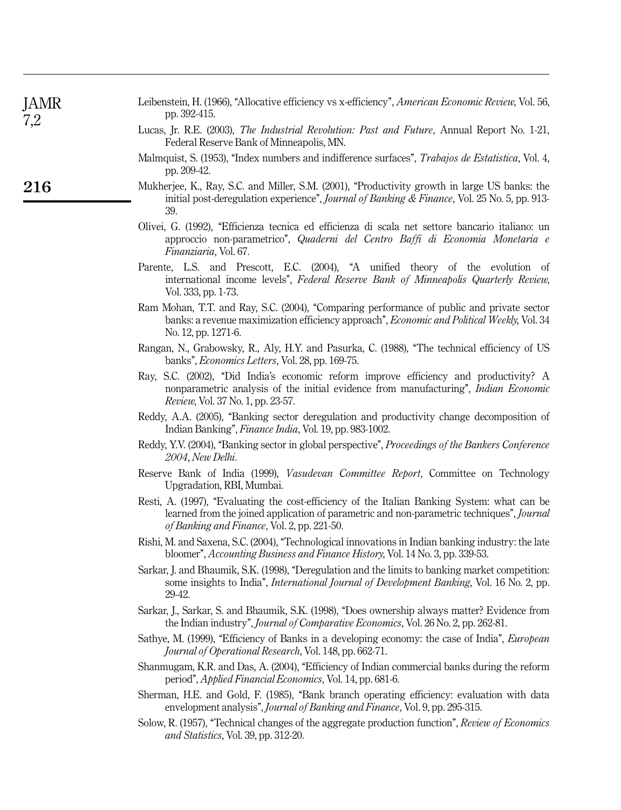| JAMR      | Leibenstein, H. (1966), "Allocative efficiency vs x-efficiency", American Economic Review, Vol. 56,<br>pp. 392-415.                                                                                                                      |
|-----------|------------------------------------------------------------------------------------------------------------------------------------------------------------------------------------------------------------------------------------------|
| 7,2       | Lucas, Jr. R.E. (2003), The Industrial Revolution: Past and Future, Annual Report No. 1-21,<br>Federal Reserve Bank of Minneapolis, MN.                                                                                                  |
|           | Malmquist, S. (1953), "Index numbers and indifference surfaces", Trabajos de Estatistica, Vol. 4,<br>pp. 209-42.                                                                                                                         |
| $\bf 216$ | Mukherjee, K., Ray, S.C. and Miller, S.M. (2001), "Productivity growth in large US banks: the<br>initial post-deregulation experience", Journal of Banking & Finance, Vol. 25 No. 5, pp. 913-<br>39.                                     |
|           | Olivei, G. (1992), "Efficienza tecnica ed efficienza di scala net settore bancario italiano: un<br>approccio non-parametrico", Quaderni del Centro Baffi di Economia Monetaria e<br>Finanziaria, Vol. 67.                                |
|           | Parente, L.S. and Prescott, E.C. (2004), "A unified theory of the evolution of<br>international income levels", Federal Reserve Bank of Minneapolis Quarterly Review,<br>Vol. 333, pp. 1-73.                                             |
|           | Ram Mohan, T.T. and Ray, S.C. (2004), "Comparing performance of public and private sector<br>banks: a revenue maximization efficiency approach", Economic and Political Weekly, Vol. 34<br>No. 12, pp. 1271-6.                           |
|           | Rangan, N., Grabowsky, R., Aly, H.Y. and Pasurka, C. (1988), "The technical efficiency of US<br>banks", <i>Economics Letters</i> , Vol. 28, pp. 169-75.                                                                                  |
|           | Ray, S.C. (2002), "Did India's economic reform improve efficiency and productivity? A<br>nonparametric analysis of the initial evidence from manufacturing", Indian Economic<br><i>Review</i> , <i>Vol.</i> 37 No. 1, pp. 23-57.         |
|           | Reddy, A.A. (2005), "Banking sector deregulation and productivity change decomposition of<br>Indian Banking", Finance India, Vol. 19, pp. 983-1002.                                                                                      |
|           | Reddy, Y.V. (2004), "Banking sector in global perspective", Proceedings of the Bankers Conference<br>2004, New Delhi.                                                                                                                    |
|           | Reserve Bank of India (1999), Vasudevan Committee Report, Committee on Technology<br>Upgradation, RBI, Mumbai.                                                                                                                           |
|           | Resti, A. (1997), "Evaluating the cost-efficiency of the Italian Banking System: what can be<br>learned from the joined application of parametric and non-parametric techniques", Journal<br>of Banking and Finance, Vol. 2, pp. 221-50. |
|           | Rishi, M. and Saxena, S.C. (2004), "Technological innovations in Indian banking industry: the late<br>bloomer", <i>Accounting Business and Finance History</i> , Vol. 14 No. 3, pp. 339-53.                                              |
|           | Sarkar, J. and Bhaumik, S.K. (1998), "Deregulation and the limits to banking market competition:<br>some insights to India", <i>International Journal of Development Banking</i> , Vol. 16 No. 2, pp.<br>29-42.                          |
|           | Sarkar, J., Sarkar, S. and Bhaumik, S.K. (1998), "Does ownership always matter? Evidence from<br>the Indian industry", <i>Journal of Comparative Economics</i> , Vol. 26 No. 2, pp. 262-81.                                              |
|           | Sathye, M. (1999), "Efficiency of Banks in a developing economy: the case of India", European<br>Journal of Operational Research, Vol. 148, pp. 662-71.                                                                                  |
|           | Shanmugam, K.R. and Das, A. (2004), "Efficiency of Indian commercial banks during the reform<br>period", Applied Financial Economics, Vol. 14, pp. 681-6.                                                                                |
|           | Sherman, H.E. and Gold, F. (1985), "Bank branch operating efficiency: evaluation with data<br>envelopment analysis", Journal of Banking and Finance, Vol. 9, pp. 295-315.                                                                |
|           | Solow, R. (1957), "Technical changes of the aggregate production function", Review of Economics<br>and Statistics, Vol. 39, pp. 312-20.                                                                                                  |
|           |                                                                                                                                                                                                                                          |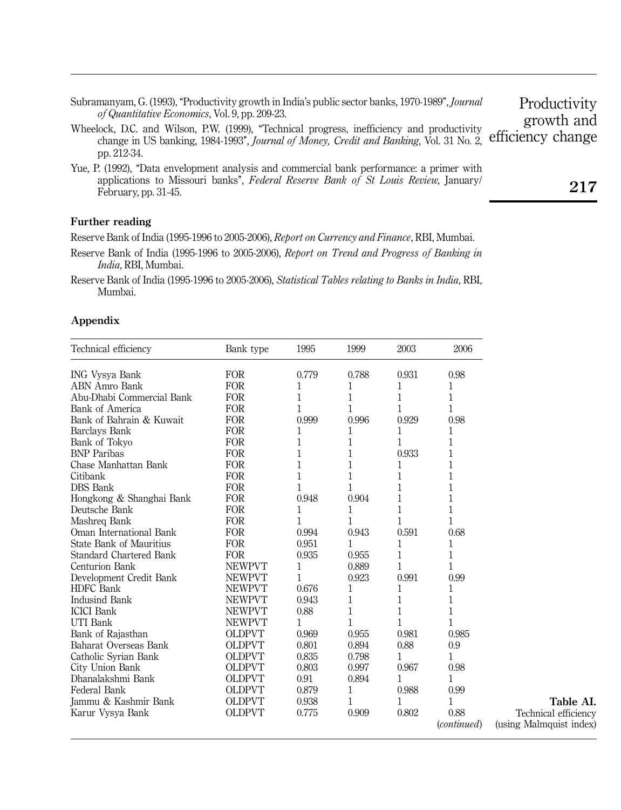Subramanyam, G. (1993), ''Productivity growth in India's public sector banks, 1970-1989'', *Journal of Quantitative Economics*, Vol. 9, pp. 209-23.

- growth and efficiency change Wheelock, D.C. and Wilson, P.W. (1999), "Technical progress, inefficiency and productivity change in US banking, 1984-1993'', *Journal of Money, Credit and Banking*, Vol. 31 No. 2, pp. 212-34.
- Yue, P. (1992), "Data envelopment analysis and commercial bank performance: a primer with applications to Missouri banks'', *Federal Reserve Bank of St Louis Review*, January/ February, pp. 31-45.

# Further reading

Reserve Bank of India (1995-1996 to 2005-2006), *Report on Currency and Finance*, RBI, Mumbai.

- Reserve Bank of India (1995-1996 to 2005-2006), *Report on Trend and Progress of Banking in India*, RBI, Mumbai.
- Reserve Bank of India (1995-1996 to 2005-2006), *Statistical Tables relating to Banks in India*, RBI, Mumbai.

# Appendix

| Technical efficiency      | Bank type     | 1995  | 1999         | 2003         | 2006                |                                                 |
|---------------------------|---------------|-------|--------------|--------------|---------------------|-------------------------------------------------|
| ING Vysya Bank            | <b>FOR</b>    | 0.779 | 0.788        | 0.931        | 0.98                |                                                 |
| ABN Amro Bank             | <b>FOR</b>    | 1     | 1            | 1            | 1                   |                                                 |
| Abu-Dhabi Commercial Bank | <b>FOR</b>    | 1     | 1            | 1            | 1                   |                                                 |
| Bank of America           | <b>FOR</b>    | 1     | 1            | 1            | $\overline{1}$      |                                                 |
| Bank of Bahrain & Kuwait  | <b>FOR</b>    | 0.999 | 0.996        | 0.929        | 0.98                |                                                 |
| Barclays Bank             | <b>FOR</b>    | 1     | 1            | 1            | 1                   |                                                 |
| Bank of Tokyo             | <b>FOR</b>    | 1     | 1            | 1            | 1                   |                                                 |
| <b>BNP</b> Paribas        | <b>FOR</b>    | 1     | $\mathbf{1}$ | 0.933        | $\overline{1}$      |                                                 |
| Chase Manhattan Bank      | <b>FOR</b>    | 1     | 1            | 1            | 1                   |                                                 |
| Citibank                  | <b>FOR</b>    | 1     | 1            | 1            | $\overline{1}$      |                                                 |
| <b>DBS</b> Bank           | <b>FOR</b>    | 1     | 1            | 1            | 1                   |                                                 |
| Hongkong & Shanghai Bank  | <b>FOR</b>    | 0.948 | 0.904        | 1            | $\overline{1}$      |                                                 |
| Deutsche Bank             | <b>FOR</b>    | 1     | 1            | $\mathbf{1}$ | $\overline{1}$      |                                                 |
| Mashreg Bank              | <b>FOR</b>    | 1     | 1            | $\mathbf{1}$ | $\overline{1}$      |                                                 |
| Oman International Bank   | <b>FOR</b>    | 0.994 | 0.943        | 0.591        | 0.68                |                                                 |
| State Bank of Mauritius   | <b>FOR</b>    | 0.951 | 1            | 1            | 1                   |                                                 |
| Standard Chartered Bank   | <b>FOR</b>    | 0.935 | 0.955        | 1            | 1                   |                                                 |
| Centurion Bank            | <b>NEWPVT</b> | 1     | 0.889        | $\mathbf{1}$ | 1                   |                                                 |
| Development Credit Bank   | <b>NEWPVT</b> | 1     | 0.923        | 0.991        | 0.99                |                                                 |
| <b>HDFC</b> Bank          | <b>NEWPVT</b> | 0.676 | 1            | 1            | 1                   |                                                 |
| Indusind Bank             | <b>NEWPVT</b> | 0.943 | 1            | 1            | 1                   |                                                 |
| <b>ICICI</b> Bank         | <b>NEWPVT</b> | 0.88  | 1            | 1            | 1                   |                                                 |
| UTI Bank                  | <b>NEWPVT</b> | 1     | 1            | 1            | 1                   |                                                 |
| Bank of Rajasthan         | <b>OLDPVT</b> | 0.969 | 0.955        | 0.981        | 0.985               |                                                 |
| Baharat Overseas Bank     | <b>OLDPVT</b> | 0.801 | 0.894        | 0.88         | 0.9                 |                                                 |
| Catholic Syrian Bank      | <b>OLDPVT</b> | 0.835 | 0.798        | 1            | 1                   |                                                 |
| City Union Bank           | <b>OLDPVT</b> | 0.803 | 0.997        | 0.967        | 0.98                |                                                 |
| Dhanalakshmi Bank         | <b>OLDPVT</b> | 0.91  | 0.894        | 1            | 1                   |                                                 |
| Federal Bank              | <b>OLDPVT</b> | 0.879 | 1            | 0.988        | 0.99                |                                                 |
| Jammu & Kashmir Bank      | <b>OLDPVT</b> | 0.938 | 1            | 1            | 1                   | Table AI.                                       |
| Karur Vysya Bank          | <b>OLDPVT</b> | 0.775 | 0.909        | 0.802        | 0.88<br>(continued) | Technical efficiency<br>(using Malmquist index) |

217

Productivity